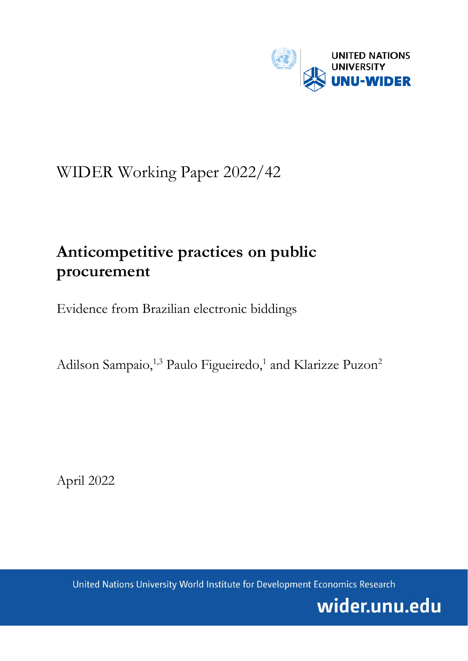

# WIDER Working Paper 2022/42

# **Anticompetitive practices on public procurement**

Evidence from Brazilian electronic biddings

Adilson Sampaio,<sup>1,3</sup> Paulo Figueiredo,<sup>1</sup> and Klarizze Puzon<sup>2</sup>

April 2022

United Nations University World Institute for Development Economics Research

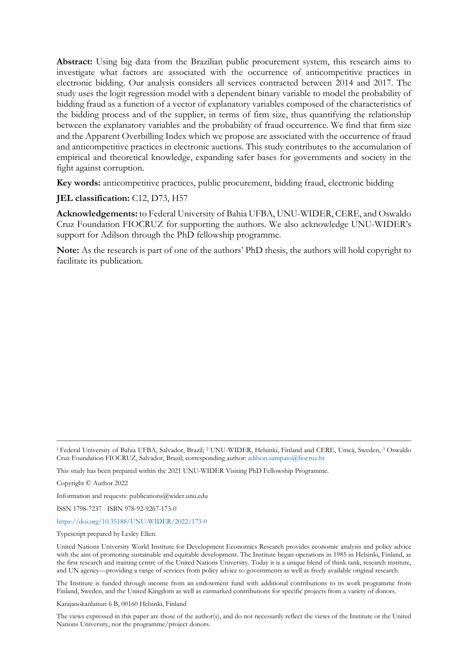**Abstract:** Using big data from the Brazilian public procurement system, this research aims to investigate what factors are associated with the occurrence of anticompetitive practices in electronic bidding. Our analysis considers all services contracted between 2014 and 2017. The study uses the logit regression model with a dependent binary variable to model the probability of bidding fraud as a function of a vector of explanatory variables composed of the characteristics of the bidding process and of the supplier, in terms of firm size, thus quantifying the relationship between the explanatory variables and the probability of fraud occurrence. We find that firm size and the Apparent Overbilling Index which we propose are associated with the occurrence of fraud and anticompetitive practices in electronic auctions. This study contributes to the accumulation of empirical and theoretical knowledge, expanding safer bases for governments and society in the fight against corruption.

**Key words:** anticompetitive practices, public procurement, bidding fraud, electronic bidding

#### **JEL classification:** C12, D73, H57

**Acknowledgements:** to Federal University of Bahia UFBA, UNU-WIDER, CERE, and Oswaldo Cruz Foundation FIOCRUZ for supporting the authors. We also acknowledge UNU-WIDER's support for Adilson through the PhD fellowship programme.

**Note:** As the research is part of one of the authors' PhD thesis, the authors will hold copyright to facilitate its publication.

Copyright © Author 2022

Information and requests: publications@wider.unu.edu

ISSN 1798-7237 ISBN 978-92-9267-173-0

#### <https://doi.org/10.35188/UNU-WIDER/2022/173-0>

Typescript prepared by Lesley Ellen.

United Nations University World Institute for Development Economics Research provides economic analysis and policy advice with the aim of promoting sustainable and equitable development. The Institute began operations in 1985 in Helsinki, Finland, as the first research and training centre of the United Nations University. Today it is a unique blend of think tank, research institute, and UN agency—providing a range of services from policy advice to governments as well as freely available original research.

The Institute is funded through income from an endowment fund with additional contributions to its work programme from Finland, Sweden, and the United Kingdom as well as earmarked contributions for specific projects from a variety of donors.

Katajanokanlaituri 6 B, 00160 Helsinki, Finland

The views expressed in this paper are those of the author(s), and do not necessarily reflect the views of the Institute or the United Nations University, nor the programme/project donors.

<sup>1</sup> Federal University of Bahia UFBA, Salvador, Brazil; <sup>2</sup> UNU-WIDER, Helsinki, Finland and CERE, Umeå, Sweden, 3 Oswaldo Cruz Foundation FIOCRUZ, Salvador, Brazil; corresponding author[: adilson.sampaio@fiocruz.br](mailto:adilson.sampaio@fiocruz.br)

This study has been prepared within the 2021 UNU-WIDER Visiting PhD Fellowship Programme.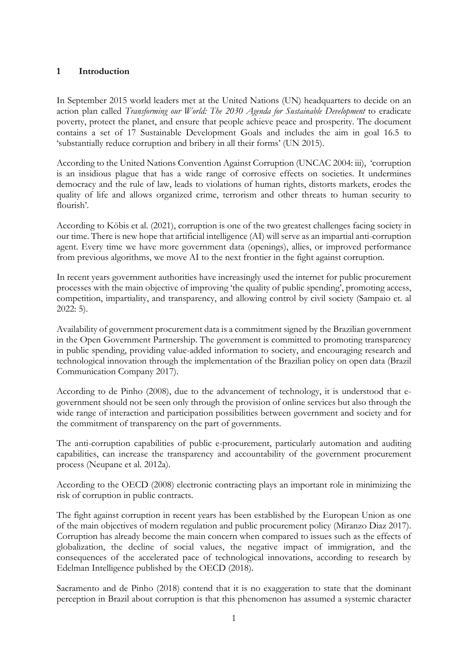## **1 Introduction**

In September 2015 world leaders met at the United Nations (UN) headquarters to decide on an action plan called *Transforming our World: The 2030 Agenda for Sustainable Development* to eradicate poverty, protect the planet, and ensure that people achieve peace and prosperity. The document contains a set of 17 Sustainable Development Goals and includes the aim in goal 16.5 to 'substantially reduce corruption and bribery in all their forms' (UN 2015).

According to the United Nations Convention Against Corruption (UNCAC 2004: iii), 'corruption is an insidious plague that has a wide range of corrosive effects on societies. It undermines democracy and the rule of law, leads to violations of human rights, distorts markets, erodes the quality of life and allows organized crime, terrorism and other threats to human security to flourish'.

According to Köbis et al. (2021), corruption is one of the two greatest challenges facing society in our time. There is new hope that artificial intelligence (AI) will serve as an impartial anti-corruption agent. Every time we have more government data (openings), allies, or improved performance from previous algorithms, we move AI to the next frontier in the fight against corruption.

In recent years government authorities have increasingly used the internet for public procurement processes with the main objective of improving 'the quality of public spending', promoting access, competition, impartiality, and transparency, and allowing control by civil society (Sampaio et. al 2022: 5).

Availability of government procurement data is a commitment signed by the Brazilian government in the Open Government Partnership. The government is committed to promoting transparency in public spending, providing value-added information to society, and encouraging research and technological innovation through the implementation of the Brazilian policy on open data (Brazil Communication Company 2017).

According to de Pinho (2008), due to the advancement of technology, it is understood that egovernment should not be seen only through the provision of online services but also through the wide range of interaction and participation possibilities between government and society and for the commitment of transparency on the part of governments.

The anti-corruption capabilities of public e-procurement, particularly automation and auditing capabilities, can increase the transparency and accountability of the government procurement process (Neupane et al. 2012a).

According to the OECD (2008) electronic contracting plays an important role in minimizing the risk of corruption in public contracts.

The fight against corruption in recent years has been established by the European Union as one of the main objectives of modern regulation and public procurement policy (Miranzo Diaz 2017). Corruption has already become the main concern when compared to issues such as the effects of globalization, the decline of social values, the negative impact of immigration, and the consequences of the accelerated pace of technological innovations, according to research by Edelman Intelligence published by the OECD (2018).

Sacramento and de Pinho (2018) contend that it is no exaggeration to state that the dominant perception in Brazil about corruption is that this phenomenon has assumed a systemic character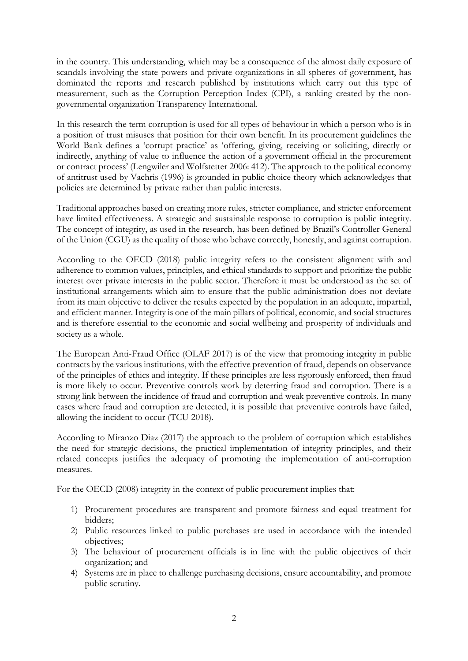in the country. This understanding, which may be a consequence of the almost daily exposure of scandals involving the state powers and private organizations in all spheres of government, has dominated the reports and research published by institutions which carry out this type of measurement, such as the Corruption Perception Index (CPI), a ranking created by the nongovernmental organization Transparency International.

In this research the term corruption is used for all types of behaviour in which a person who is in a position of trust misuses that position for their own benefit. In its procurement guidelines the World Bank defines a 'corrupt practice' as 'offering, giving, receiving or soliciting, directly or indirectly, anything of value to influence the action of a government official in the procurement or contract process' (Lengwiler and Wolfstetter 2006: 412). The approach to the political economy of antitrust used by Vachris (1996) is grounded in public choice theory which acknowledges that policies are determined by private rather than public interests.

Traditional approaches based on creating more rules, stricter compliance, and stricter enforcement have limited effectiveness. A strategic and sustainable response to corruption is public integrity. The concept of integrity, as used in the research, has been defined by Brazil's Controller General of the Union (CGU) as the quality of those who behave correctly, honestly, and against corruption.

According to the OECD (2018) public integrity refers to the consistent alignment with and adherence to common values, principles, and ethical standards to support and prioritize the public interest over private interests in the public sector. Therefore it must be understood as the set of institutional arrangements which aim to ensure that the public administration does not deviate from its main objective to deliver the results expected by the population in an adequate, impartial, and efficient manner. Integrity is one of the main pillars of political, economic, and social structures and is therefore essential to the economic and social wellbeing and prosperity of individuals and society as a whole.

The European Anti-Fraud Office (OLAF 2017) is of the view that promoting integrity in public contracts by the various institutions, with the effective prevention of fraud, depends on observance of the principles of ethics and integrity. If these principles are less rigorously enforced, then fraud is more likely to occur. Preventive controls work by deterring fraud and corruption. There is a strong link between the incidence of fraud and corruption and weak preventive controls. In many cases where fraud and corruption are detected, it is possible that preventive controls have failed, allowing the incident to occur (TCU 2018).

According to Miranzo Diaz (2017) the approach to the problem of corruption which establishes the need for strategic decisions, the practical implementation of integrity principles, and their related concepts justifies the adequacy of promoting the implementation of anti-corruption measures.

For the OECD (2008) integrity in the context of public procurement implies that:

- 1) Procurement procedures are transparent and promote fairness and equal treatment for bidders;
- 2) Public resources linked to public purchases are used in accordance with the intended objectives;
- 3) The behaviour of procurement officials is in line with the public objectives of their organization; and
- 4) Systems are in place to challenge purchasing decisions, ensure accountability, and promote public scrutiny.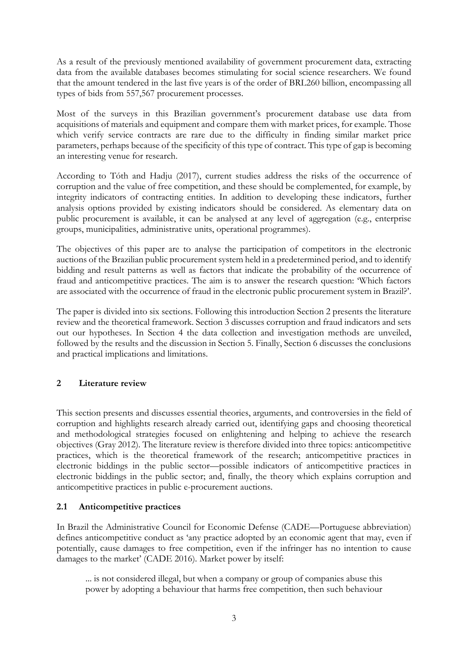As a result of the previously mentioned availability of government procurement data, extracting data from the available databases becomes stimulating for social science researchers. We found that the amount tendered in the last five years is of the order of BRL260 billion, encompassing all types of bids from 557,567 procurement processes.

Most of the surveys in this Brazilian government's procurement database use data from acquisitions of materials and equipment and compare them with market prices, for example. Those which verify service contracts are rare due to the difficulty in finding similar market price parameters, perhaps because of the specificity of this type of contract. This type of gap is becoming an interesting venue for research.

According to Tóth and Hadju (2017), current studies address the risks of the occurrence of corruption and the value of free competition, and these should be complemented, for example, by integrity indicators of contracting entities. In addition to developing these indicators, further analysis options provided by existing indicators should be considered. As elementary data on public procurement is available, it can be analysed at any level of aggregation (e.g., enterprise groups, municipalities, administrative units, operational programmes).

The objectives of this paper are to analyse the participation of competitors in the electronic auctions of the Brazilian public procurement system held in a predetermined period, and to identify bidding and result patterns as well as factors that indicate the probability of the occurrence of fraud and anticompetitive practices. The aim is to answer the research question: 'Which factors are associated with the occurrence of fraud in the electronic public procurement system in Brazil?'.

The paper is divided into six sections. Following this introduction Section 2 presents the literature review and the theoretical framework. Section 3 discusses corruption and fraud indicators and sets out our hypotheses. In Section 4 the data collection and investigation methods are unveiled, followed by the results and the discussion in Section 5. Finally, Section 6 discusses the conclusions and practical implications and limitations.

## **2 Literature review**

This section presents and discusses essential theories, arguments, and controversies in the field of corruption and highlights research already carried out, identifying gaps and choosing theoretical and methodological strategies focused on enlightening and helping to achieve the research objectives (Gray 2012). The literature review is therefore divided into three topics: anticompetitive practices, which is the theoretical framework of the research; anticompetitive practices in electronic biddings in the public sector—possible indicators of anticompetitive practices in electronic biddings in the public sector; and, finally, the theory which explains corruption and anticompetitive practices in public e-procurement auctions.

## **2.1 Anticompetitive practices**

In Brazil the Administrative Council for Economic Defense (CADE—Portuguese abbreviation) defines anticompetitive conduct as 'any practice adopted by an economic agent that may, even if potentially, cause damages to free competition, even if the infringer has no intention to cause damages to the market' (CADE 2016). Market power by itself:

... is not considered illegal, but when a company or group of companies abuse this power by adopting a behaviour that harms free competition, then such behaviour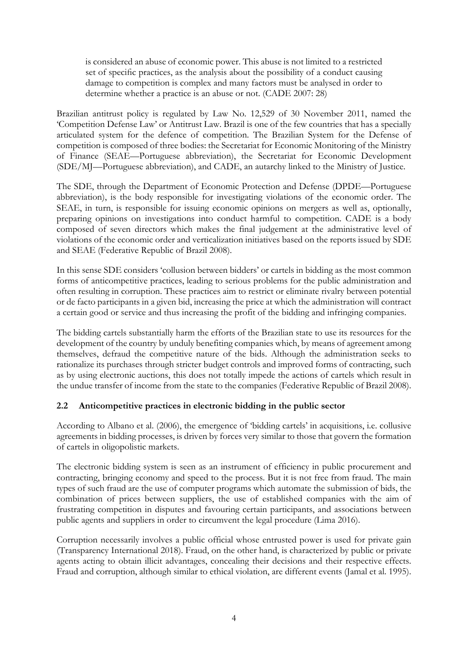is considered an abuse of economic power. This abuse is not limited to a restricted set of specific practices, as the analysis about the possibility of a conduct causing damage to competition is complex and many factors must be analysed in order to determine whether a practice is an abuse or not. (CADE 2007: 28)

Brazilian antitrust policy is regulated by Law No. 12,529 of 30 November 2011, named the 'Competition Defense Law' or Antitrust Law. Brazil is one of the few countries that has a specially articulated system for the defence of competition. The Brazilian System for the Defense of competition is composed of three bodies: the Secretariat for Economic Monitoring of the Ministry of Finance (SEAE—Portuguese abbreviation), the Secretariat for Economic Development (SDE/MJ—Portuguese abbreviation), and CADE, an autarchy linked to the Ministry of Justice.

The SDE, through the Department of Economic Protection and Defense (DPDE—Portuguese abbreviation), is the body responsible for investigating violations of the economic order. The SEAE, in turn, is responsible for issuing economic opinions on mergers as well as, optionally, preparing opinions on investigations into conduct harmful to competition. CADE is a body composed of seven directors which makes the final judgement at the administrative level of violations of the economic order and verticalization initiatives based on the reports issued by SDE and SEAE (Federative Republic of Brazil 2008).

In this sense SDE considers 'collusion between bidders' or cartels in bidding as the most common forms of anticompetitive practices, leading to serious problems for the public administration and often resulting in corruption. These practices aim to restrict or eliminate rivalry between potential or de facto participants in a given bid, increasing the price at which the administration will contract a certain good or service and thus increasing the profit of the bidding and infringing companies.

The bidding cartels substantially harm the efforts of the Brazilian state to use its resources for the development of the country by unduly benefiting companies which, by means of agreement among themselves, defraud the competitive nature of the bids. Although the administration seeks to rationalize its purchases through stricter budget controls and improved forms of contracting, such as by using electronic auctions, this does not totally impede the actions of cartels which result in the undue transfer of income from the state to the companies (Federative Republic of Brazil 2008).

## **2.2 Anticompetitive practices in electronic bidding in the public sector**

According to Albano et al. (2006), the emergence of 'bidding cartels' in acquisitions, i.e. collusive agreements in bidding processes, is driven by forces very similar to those that govern the formation of cartels in oligopolistic markets.

The electronic bidding system is seen as an instrument of efficiency in public procurement and contracting, bringing economy and speed to the process. But it is not free from fraud. The main types of such fraud are the use of computer programs which automate the submission of bids, the combination of prices between suppliers, the use of established companies with the aim of frustrating competition in disputes and favouring certain participants, and associations between public agents and suppliers in order to circumvent the legal procedure (Lima 2016).

Corruption necessarily involves a public official whose entrusted power is used for private gain (Transparency International 2018). Fraud, on the other hand, is characterized by public or private agents acting to obtain illicit advantages, concealing their decisions and their respective effects. Fraud and corruption, although similar to ethical violation, are different events (Jamal et al. 1995).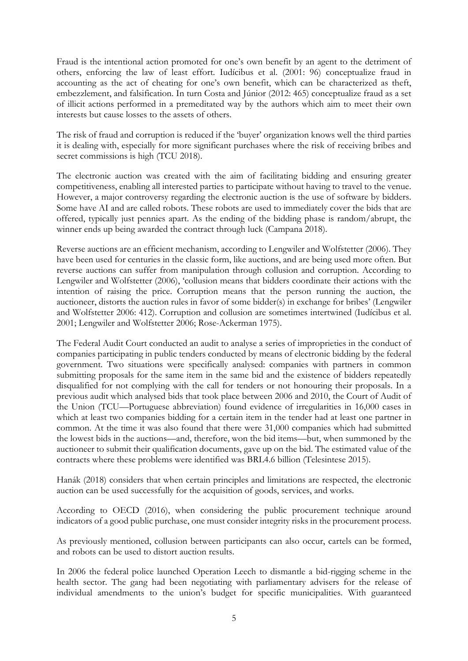Fraud is the intentional action promoted for one's own benefit by an agent to the detriment of others, enforcing the law of least effort. Iudícibus et al. (2001: 96) conceptualize fraud in accounting as the act of cheating for one's own benefit, which can be characterized as theft, embezzlement, and falsification. In turn Costa and Júnior (2012: 465) conceptualize fraud as a set of illicit actions performed in a premeditated way by the authors which aim to meet their own interests but cause losses to the assets of others.

The risk of fraud and corruption is reduced if the 'buyer' organization knows well the third parties it is dealing with, especially for more significant purchases where the risk of receiving bribes and secret commissions is high (TCU 2018).

The electronic auction was created with the aim of facilitating bidding and ensuring greater competitiveness, enabling all interested parties to participate without having to travel to the venue. However, a major controversy regarding the electronic auction is the use of software by bidders. Some have AI and are called robots. These robots are used to immediately cover the bids that are offered, typically just pennies apart. As the ending of the bidding phase is random/abrupt, the winner ends up being awarded the contract through luck (Campana 2018).

Reverse auctions are an efficient mechanism, according to Lengwiler and Wolfstetter (2006). They have been used for centuries in the classic form, like auctions, and are being used more often. But reverse auctions can suffer from manipulation through collusion and corruption. According to Lengwiler and Wolfstetter (2006), 'collusion means that bidders coordinate their actions with the intention of raising the price. Corruption means that the person running the auction, the auctioneer, distorts the auction rules in favor of some bidder(s) in exchange for bribes' (Lengwiler and Wolfstetter 2006: 412). Corruption and collusion are sometimes intertwined (Iudícibus et al. 2001; Lengwiler and Wolfstetter 2006; Rose-Ackerman 1975).

The Federal Audit Court conducted an audit to analyse a series of improprieties in the conduct of companies participating in public tenders conducted by means of electronic bidding by the federal government. Two situations were specifically analysed: companies with partners in common submitting proposals for the same item in the same bid and the existence of bidders repeatedly disqualified for not complying with the call for tenders or not honouring their proposals. In a previous audit which analysed bids that took place between 2006 and 2010, the Court of Audit of the Union (TCU—Portuguese abbreviation) found evidence of irregularities in 16,000 cases in which at least two companies bidding for a certain item in the tender had at least one partner in common. At the time it was also found that there were 31,000 companies which had submitted the lowest bids in the auctions—and, therefore, won the bid items—but, when summoned by the auctioneer to submit their qualification documents, gave up on the bid. The estimated value of the contracts where these problems were identified was BRL4.6 billion (Telesintese 2015).

Hanák (2018) considers that when certain principles and limitations are respected, the electronic auction can be used successfully for the acquisition of goods, services, and works.

According to OECD (2016), when considering the public procurement technique around indicators of a good public purchase, one must consider integrity risks in the procurement process.

As previously mentioned, collusion between participants can also occur, cartels can be formed, and robots can be used to distort auction results.

In 2006 the federal police launched Operation Leech to dismantle a bid-rigging scheme in the health sector. The gang had been negotiating with parliamentary advisers for the release of individual amendments to the union's budget for specific municipalities. With guaranteed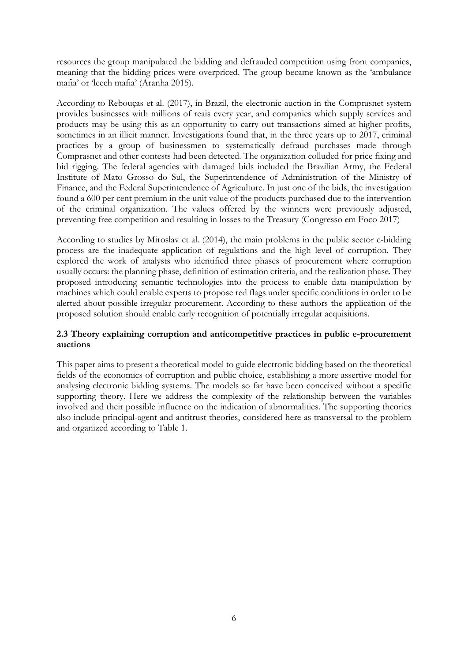resources the group manipulated the bidding and defrauded competition using front companies, meaning that the bidding prices were overpriced. The group became known as the 'ambulance mafia' or 'leech mafia' (Aranha 2015).

According to Rebouças et al. (2017), in Brazil, the electronic auction in the Comprasnet system provides businesses with millions of reais every year, and companies which supply services and products may be using this as an opportunity to carry out transactions aimed at higher profits, sometimes in an illicit manner. Investigations found that, in the three years up to 2017, criminal practices by a group of businessmen to systematically defraud purchases made through Comprasnet and other contests had been detected. The organization colluded for price fixing and bid rigging. The federal agencies with damaged bids included the Brazilian Army, the Federal Institute of Mato Grosso do Sul, the Superintendence of Administration of the Ministry of Finance, and the Federal Superintendence of Agriculture. In just one of the bids, the investigation found a 600 per cent premium in the unit value of the products purchased due to the intervention of the criminal organization. The values offered by the winners were previously adjusted, preventing free competition and resulting in losses to the Treasury (Congresso em Foco 2017)

According to studies by Miroslav et al. (2014), the main problems in the public sector e-bidding process are the inadequate application of regulations and the high level of corruption. They explored the work of analysts who identified three phases of procurement where corruption usually occurs: the planning phase, definition of estimation criteria, and the realization phase. They proposed introducing semantic technologies into the process to enable data manipulation by machines which could enable experts to propose red flags under specific conditions in order to be alerted about possible irregular procurement. According to these authors the application of the proposed solution should enable early recognition of potentially irregular acquisitions.

## **2.3 Theory explaining corruption and anticompetitive practices in public e-procurement auctions**

This paper aims to present a theoretical model to guide electronic bidding based on the theoretical fields of the economics of corruption and public choice, establishing a more assertive model for analysing electronic bidding systems. The models so far have been conceived without a specific supporting theory. Here we address the complexity of the relationship between the variables involved and their possible influence on the indication of abnormalities. The supporting theories also include principal-agent and antitrust theories, considered here as transversal to the problem and organized according to Table 1.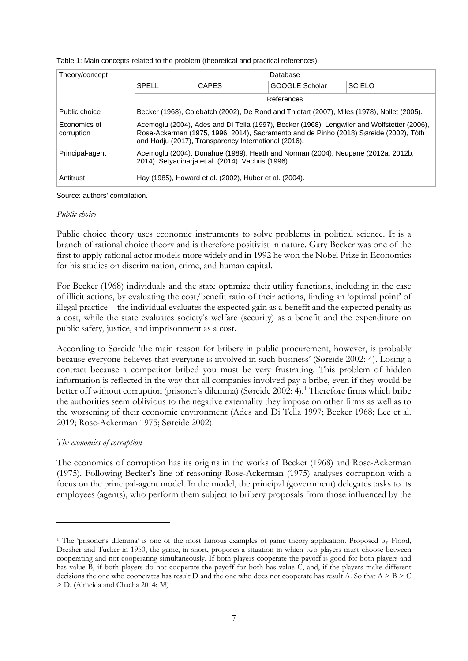| Table 1: Main concepts related to the problem (theoretical and practical references) |  |
|--------------------------------------------------------------------------------------|--|
|                                                                                      |  |

| Theory/concept             | Database                                                                                                                                                                                                                                     |                                                                                            |                       |        |  |  |
|----------------------------|----------------------------------------------------------------------------------------------------------------------------------------------------------------------------------------------------------------------------------------------|--------------------------------------------------------------------------------------------|-----------------------|--------|--|--|
|                            | SPELL                                                                                                                                                                                                                                        | <b>CAPES</b>                                                                               | <b>GOOGLE Scholar</b> | SCIFLO |  |  |
|                            | References                                                                                                                                                                                                                                   |                                                                                            |                       |        |  |  |
| Public choice              |                                                                                                                                                                                                                                              | Becker (1968), Colebatch (2002), De Rond and Thietart (2007), Miles (1978), Nollet (2005). |                       |        |  |  |
| Economics of<br>corruption | Acemoglu (2004), Ades and Di Tella (1997), Becker (1968), Lengwiler and Wolfstetter (2006),<br>Rose-Ackerman (1975, 1996, 2014), Sacramento and de Pinho (2018) Søreide (2002), Tóth<br>and Hadju (2017), Transparency International (2016). |                                                                                            |                       |        |  |  |
| Principal-agent            | Acemoglu (2004), Donahue (1989), Heath and Norman (2004), Neupane (2012a, 2012b,<br>2014), Setyadiharja et al. (2014), Vachris (1996).                                                                                                       |                                                                                            |                       |        |  |  |
| Antitrust                  | Hay (1985), Howard et al. (2002), Huber et al. (2004).                                                                                                                                                                                       |                                                                                            |                       |        |  |  |

Source: authors' compilation.

#### *Public choice*

Public choice theory uses economic instruments to solve problems in political science. It is a branch of rational choice theory and is therefore positivist in nature. Gary Becker was one of the first to apply rational actor models more widely and in 1992 he won the Nobel Prize in Economics for his studies on discrimination, crime, and human capital.

For Becker (1968) individuals and the state optimize their utility functions, including in the case of illicit actions, by evaluating the cost/benefit ratio of their actions, finding an 'optimal point' of illegal practice—the individual evaluates the expected gain as a benefit and the expected penalty as a cost, while the state evaluates society's welfare (security) as a benefit and the expenditure on public safety, justice, and imprisonment as a cost.

According to Søreide 'the main reason for bribery in public procurement, however, is probably because everyone believes that everyone is involved in such business' (Søreide 2002: 4). Losing a contract because a competitor bribed you must be very frustrating. This problem of hidden information is reflected in the way that all companies involved pay a bribe, even if they would be better off without corruption (prisoner's dilemma) (Søreide 2002: 4). [1](#page-8-0) Therefore firms which bribe the authorities seem oblivious to the negative externality they impose on other firms as well as to the worsening of their economic environment (Ades and Di Tella 1997; Becker 1968; Lee et al. 2019; Rose-Ackerman 1975; Søreide 2002).

## *The economics of corruption*

The economics of corruption has its origins in the works of Becker (1968) and Rose-Ackerman (1975). Following Becker's line of reasoning Rose-Ackerman (1975) analyses corruption with a focus on the principal-agent model. In the model, the principal (government) delegates tasks to its employees (agents), who perform them subject to bribery proposals from those influenced by the

<span id="page-8-0"></span><sup>&</sup>lt;sup>1</sup> The 'prisoner's dilemma' is one of the most famous examples of game theory application. Proposed by Flood, Dresher and Tucker in 1950, the game, in short, proposes a situation in which two players must choose between cooperating and not cooperating simultaneously. If both players cooperate the payoff is good for both players and has value B, if both players do not cooperate the payoff for both has value C, and, if the players make different decisions the one who cooperates has result D and the one who does not cooperate has result A. So that  $A > B > C$ > D. (Almeida and Chacha 2014: 38)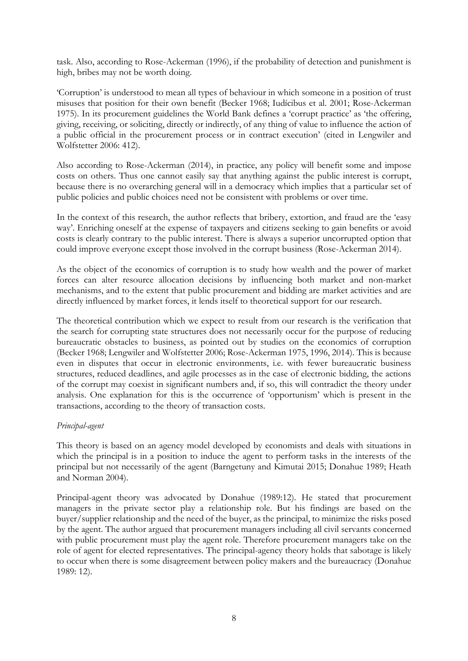task. Also, according to Rose-Ackerman (1996), if the probability of detection and punishment is high, bribes may not be worth doing.

'Corruption' is understood to mean all types of behaviour in which someone in a position of trust misuses that position for their own benefit (Becker 1968; Iudícibus et al. 2001; Rose-Ackerman 1975). In its procurement guidelines the World Bank defines a 'corrupt practice' as 'the offering, giving, receiving, or soliciting, directly or indirectly, of any thing of value to influence the action of a public official in the procurement process or in contract execution' (cited in Lengwiler and Wolfstetter 2006: 412).

Also according to Rose-Ackerman (2014), in practice, any policy will benefit some and impose costs on others. Thus one cannot easily say that anything against the public interest is corrupt, because there is no overarching general will in a democracy which implies that a particular set of public policies and public choices need not be consistent with problems or over time.

In the context of this research, the author reflects that bribery, extortion, and fraud are the 'easy way'. Enriching oneself at the expense of taxpayers and citizens seeking to gain benefits or avoid costs is clearly contrary to the public interest. There is always a superior uncorrupted option that could improve everyone except those involved in the corrupt business (Rose-Ackerman 2014).

As the object of the economics of corruption is to study how wealth and the power of market forces can alter resource allocation decisions by influencing both market and non-market mechanisms, and to the extent that public procurement and bidding are market activities and are directly influenced by market forces, it lends itself to theoretical support for our research.

The theoretical contribution which we expect to result from our research is the verification that the search for corrupting state structures does not necessarily occur for the purpose of reducing bureaucratic obstacles to business, as pointed out by studies on the economics of corruption (Becker 1968; Lengwiler and Wolfstetter 2006; Rose-Ackerman 1975, 1996, 2014). This is because even in disputes that occur in electronic environments, i.e. with fewer bureaucratic business structures, reduced deadlines, and agile processes as in the case of electronic bidding, the actions of the corrupt may coexist in significant numbers and, if so, this will contradict the theory under analysis. One explanation for this is the occurrence of 'opportunism' which is present in the transactions, according to the theory of transaction costs.

## *Principal-agent*

This theory is based on an agency model developed by economists and deals with situations in which the principal is in a position to induce the agent to perform tasks in the interests of the principal but not necessarily of the agent (Barngetuny and Kimutai 2015; Donahue 1989; Heath and Norman 2004).

Principal-agent theory was advocated by Donahue (1989:12). He stated that procurement managers in the private sector play a relationship role. But his findings are based on the buyer/supplier relationship and the need of the buyer, as the principal, to minimize the risks posed by the agent. The author argued that procurement managers including all civil servants concerned with public procurement must play the agent role. Therefore procurement managers take on the role of agent for elected representatives. The principal-agency theory holds that sabotage is likely to occur when there is some disagreement between policy makers and the bureaucracy (Donahue 1989: 12).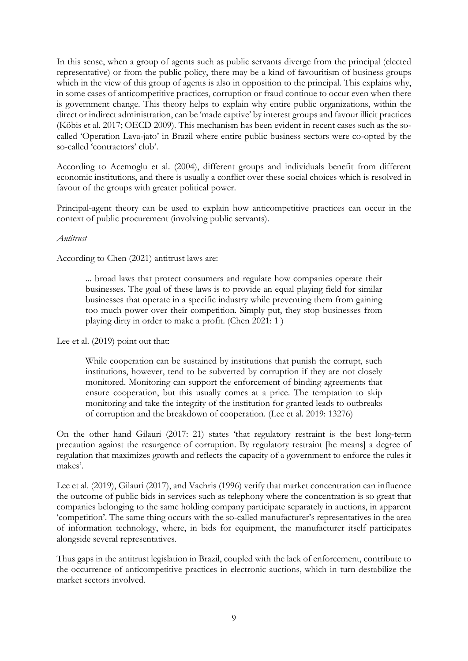In this sense, when a group of agents such as public servants diverge from the principal (elected representative) or from the public policy, there may be a kind of favouritism of business groups which in the view of this group of agents is also in opposition to the principal. This explains why, in some cases of anticompetitive practices, corruption or fraud continue to occur even when there is government change. This theory helps to explain why entire public organizations, within the direct or indirect administration, can be 'made captive' by interest groups and favour illicit practices (Köbis et al. 2017; OECD 2009). This mechanism has been evident in recent cases such as the socalled 'Operation Lava-jato' in Brazil where entire public business sectors were co-opted by the so-called 'contractors' club'.

According to Acemoglu et al. (2004), different groups and individuals benefit from different economic institutions, and there is usually a conflict over these social choices which is resolved in favour of the groups with greater political power.

Principal-agent theory can be used to explain how anticompetitive practices can occur in the context of public procurement (involving public servants).

*Antitrust*

According to Chen (2021) antitrust laws are:

... broad laws that protect consumers and regulate how companies operate their businesses. The goal of these laws is to provide an equal playing field for similar businesses that operate in a specific industry while preventing them from gaining too much power over their competition. Simply put, they stop businesses from playing dirty in order to make a profit. (Chen 2021: 1 )

Lee et al. (2019) point out that:

While cooperation can be sustained by institutions that punish the corrupt, such institutions, however, tend to be subverted by corruption if they are not closely monitored. Monitoring can support the enforcement of binding agreements that ensure cooperation, but this usually comes at a price. The temptation to skip monitoring and take the integrity of the institution for granted leads to outbreaks of corruption and the breakdown of cooperation. (Lee et al. 2019: 13276)

On the other hand Gilauri (2017: 21) states 'that regulatory restraint is the best long-term precaution against the resurgence of corruption. By regulatory restraint [he means] a degree of regulation that maximizes growth and reflects the capacity of a government to enforce the rules it makes'.

Lee et al. (2019), Gilauri (2017), and Vachris (1996) verify that market concentration can influence the outcome of public bids in services such as telephony where the concentration is so great that companies belonging to the same holding company participate separately in auctions, in apparent 'competition'. The same thing occurs with the so-called manufacturer's representatives in the area of information technology, where, in bids for equipment, the manufacturer itself participates alongside several representatives.

Thus gaps in the antitrust legislation in Brazil, coupled with the lack of enforcement, contribute to the occurrence of anticompetitive practices in electronic auctions, which in turn destabilize the market sectors involved.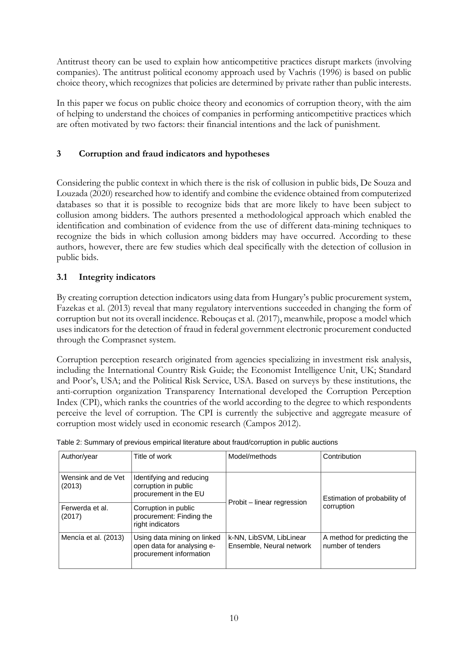Antitrust theory can be used to explain how anticompetitive practices disrupt markets (involving companies). The antitrust political economy approach used by Vachris (1996) is based on public choice theory, which recognizes that policies are determined by private rather than public interests.

In this paper we focus on public choice theory and economics of corruption theory, with the aim of helping to understand the choices of companies in performing anticompetitive practices which are often motivated by two factors: their financial intentions and the lack of punishment.

# **3 Corruption and fraud indicators and hypotheses**

Considering the public context in which there is the risk of collusion in public bids, De Souza and Louzada (2020) researched how to identify and combine the evidence obtained from computerized databases so that it is possible to recognize bids that are more likely to have been subject to collusion among bidders. The authors presented a methodological approach which enabled the identification and combination of evidence from the use of different data-mining techniques to recognize the bids in which collusion among bidders may have occurred. According to these authors, however, there are few studies which deal specifically with the detection of collusion in public bids.

## **3.1 Integrity indicators**

By creating corruption detection indicators using data from Hungary's public procurement system, Fazekas et al. (2013) reveal that many regulatory interventions succeeded in changing the form of corruption but not its overall incidence. Rebouças et al. (2017), meanwhile, propose a model which uses indicators for the detection of fraud in federal government electronic procurement conducted through the Comprasnet system.

Corruption perception research originated from agencies specializing in investment risk analysis, including the International Country Risk Guide; the Economist Intelligence Unit, UK; Standard and Poor's, USA; and the Political Risk Service, USA. Based on surveys by these institutions, the anti-corruption organization Transparency International developed the Corruption Perception Index (CPI), which ranks the countries of the world according to the degree to which respondents perceive the level of corruption. The CPI is currently the subjective and aggregate measure of corruption most widely used in economic research (Campos 2012).

| Author/year                  | Title of work                                                                        | Model/methods                                       | Contribution                                     |  |
|------------------------------|--------------------------------------------------------------------------------------|-----------------------------------------------------|--------------------------------------------------|--|
| Wensink and de Vet<br>(2013) | Identifying and reducing<br>corruption in public<br>procurement in the EU            | Probit – linear regression                          | Estimation of probability of                     |  |
| Ferwerda et al.<br>(2017)    | Corruption in public<br>procurement: Finding the<br>right indicators                 |                                                     | corruption                                       |  |
| Mencía et al. (2013)         | Using data mining on linked<br>open data for analysing e-<br>procurement information | k-NN, LibSVM, LibLinear<br>Ensemble, Neural network | A method for predicting the<br>number of tenders |  |

Table 2: Summary of previous empirical literature about fraud/corruption in public auctions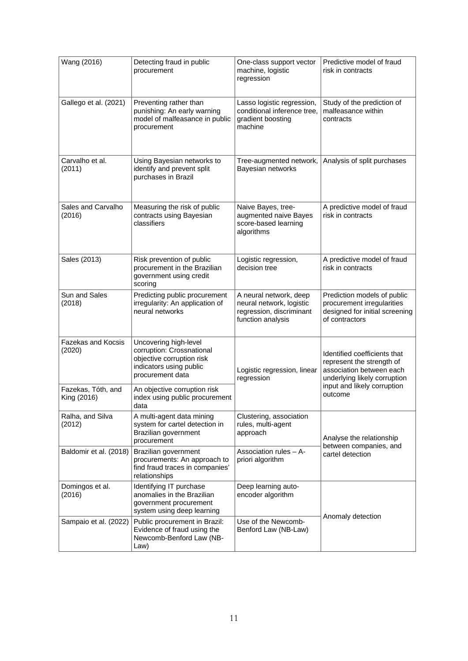| Wang (2016)                                                                                                                      | Detecting fraud in public<br>procurement                                                                                                                                                                                                              | One-class support vector<br>machine, logistic<br>regression                                         | Predictive model of fraud<br>risk in contracts                                                                        |  |
|----------------------------------------------------------------------------------------------------------------------------------|-------------------------------------------------------------------------------------------------------------------------------------------------------------------------------------------------------------------------------------------------------|-----------------------------------------------------------------------------------------------------|-----------------------------------------------------------------------------------------------------------------------|--|
| Gallego et al. (2021)                                                                                                            | Preventing rather than<br>punishing: An early warning<br>model of malfeasance in public<br>procurement                                                                                                                                                | Lasso logistic regression,<br>conditional inference tree,<br>gradient boosting<br>machine           | Study of the prediction of<br>malfeasance within<br>contracts                                                         |  |
| Carvalho et al.<br>(2011)                                                                                                        | Using Bayesian networks to<br>identify and prevent split<br>purchases in Brazil                                                                                                                                                                       | Tree-augmented network,<br>Bayesian networks                                                        | Analysis of split purchases                                                                                           |  |
| Sales and Carvalho<br>(2016)                                                                                                     | Measuring the risk of public<br>contracts using Bayesian<br>classifiers                                                                                                                                                                               | Naive Bayes, tree-<br>augmented naive Bayes<br>score-based learning<br>algorithms                   | A predictive model of fraud<br>risk in contracts                                                                      |  |
| Sales (2013)                                                                                                                     | Risk prevention of public<br>procurement in the Brazilian<br>government using credit<br>scoring                                                                                                                                                       | Logistic regression,<br>decision tree                                                               | A predictive model of fraud<br>risk in contracts                                                                      |  |
| Sun and Sales<br>(2018)                                                                                                          | Predicting public procurement<br>irregularity: An application of<br>neural networks                                                                                                                                                                   | A neural network, deep<br>neural network, logistic<br>regression, discriminant<br>function analysis | Prediction models of public<br>procurement irregularities<br>designed for initial screening<br>of contractors         |  |
| Fazekas and Kocsis<br>(2020)                                                                                                     | Uncovering high-level<br>corruption: Crossnational<br>objective corruption risk<br>indicators using public<br>Logistic regression, linear<br>procurement data<br>regression<br>An objective corruption risk<br>index using public procurement<br>data |                                                                                                     | Identified coefficients that<br>represent the strength of<br>association between each<br>underlying likely corruption |  |
| Fazekas, Tóth, and<br>King (2016)                                                                                                |                                                                                                                                                                                                                                                       |                                                                                                     | input and likely corruption<br>outcome                                                                                |  |
| Ralha, and Silva<br>A multi-agent data mining<br>system for cartel detection in<br>(2012)<br>Brazilian government<br>procurement |                                                                                                                                                                                                                                                       | Clustering, association<br>rules, multi-agent<br>approach                                           | Analyse the relationship                                                                                              |  |
| Baldomir et al. (2018)                                                                                                           | Brazilian government<br>Association rules - A-<br>procurements: An approach to<br>priori algorithm<br>find fraud traces in companies'<br>relationships                                                                                                |                                                                                                     | between companies, and<br>cartel detection                                                                            |  |
| Domingos et al.<br>(2016)                                                                                                        | Identifying IT purchase<br>anomalies in the Brazilian<br>government procurement<br>system using deep learning                                                                                                                                         | Deep learning auto-<br>encoder algorithm                                                            |                                                                                                                       |  |
| Sampaio et al. (2022)                                                                                                            | Public procurement in Brazil:<br>Evidence of fraud using the<br>Newcomb-Benford Law (NB-<br>Law)                                                                                                                                                      | Use of the Newcomb-<br>Benford Law (NB-Law)                                                         | Anomaly detection                                                                                                     |  |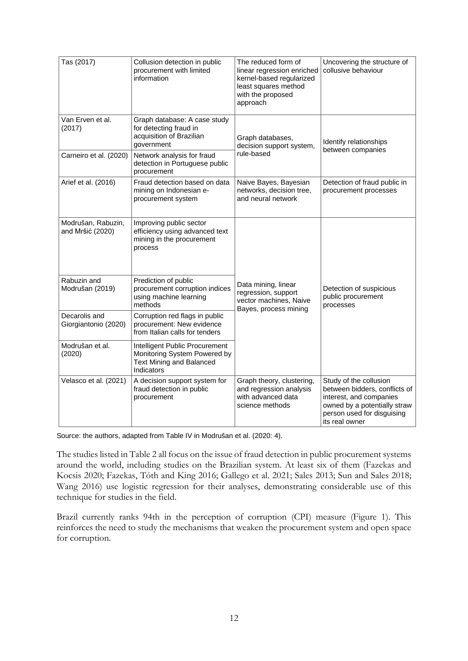| Tas (2017)                                                                                                                                                                                                                                                              | Collusion detection in public<br>procurement with limited<br>information                                               | The reduced form of<br>linear regression enriched<br>kernel-based regularized<br>least squares method<br>with the proposed<br>approach | Uncovering the structure of<br>collusive behaviour                                                                                                                 |  |
|-------------------------------------------------------------------------------------------------------------------------------------------------------------------------------------------------------------------------------------------------------------------------|------------------------------------------------------------------------------------------------------------------------|----------------------------------------------------------------------------------------------------------------------------------------|--------------------------------------------------------------------------------------------------------------------------------------------------------------------|--|
| Van Erven et al.<br>(2017)                                                                                                                                                                                                                                              | Graph database: A case study<br>for detecting fraud in<br>acquisition of Brazilian<br>government                       | Graph databases,<br>decision support system,<br>rule-based                                                                             | Identify relationships<br>between companies                                                                                                                        |  |
| Carneiro et al. (2020)                                                                                                                                                                                                                                                  | Network analysis for fraud<br>detection in Portuguese public<br>procurement                                            |                                                                                                                                        |                                                                                                                                                                    |  |
| Arief et al. (2016)                                                                                                                                                                                                                                                     | Fraud detection based on data<br>mining on Indonesian e-<br>procurement system                                         | Naive Bayes, Bayesian<br>networks, decision tree,<br>and neural network                                                                | Detection of fraud public in<br>procurement processes                                                                                                              |  |
| Modrušan, Rabuzin,<br>and Mršić (2020)                                                                                                                                                                                                                                  | Improving public sector<br>efficiency using advanced text<br>mining in the procurement<br>process                      |                                                                                                                                        |                                                                                                                                                                    |  |
| Rabuzin and<br>Prediction of public<br>procurement corruption indices<br>Modrušan (2019)<br>using machine learning<br>methods<br>Decarolis and<br>Corruption red flags in public<br>procurement: New evidence<br>Giorgiantonio (2020)<br>from Italian calls for tenders |                                                                                                                        | Data mining, linear<br>regression, support<br>vector machines, Naive<br>Bayes, process mining                                          | Detection of suspicious<br>public procurement<br>processes                                                                                                         |  |
|                                                                                                                                                                                                                                                                         |                                                                                                                        |                                                                                                                                        |                                                                                                                                                                    |  |
| Modrušan et al.<br>(2020)                                                                                                                                                                                                                                               | Intelligent Public Procurement<br>Monitoring System Powered by<br><b>Text Mining and Balanced</b><br><b>Indicators</b> |                                                                                                                                        |                                                                                                                                                                    |  |
| Velasco et al. (2021)                                                                                                                                                                                                                                                   | A decision support system for<br>fraud detection in public<br>procurement                                              | Graph theory, clustering,<br>and regression analysis<br>with advanced data<br>science methods                                          | Study of the collusion<br>between bidders, conflicts of<br>interest, and companies<br>owned by a potentially straw<br>person used for disguising<br>its real owner |  |

Source: the authors, adapted from Table IV in Modrušan et al. (2020: 4).

The studies listed in Table 2 all focus on the issue of fraud detection in public procurement systems around the world, including studies on the Brazilian system. At least six of them (Fazekas and Kocsis 2020; Fazekas, Tóth and King 2016; Gallego et al. 2021; Sales 2013; Sun and Sales 2018; Wang 2016) use logistic regression for their analyses, demonstrating considerable use of this technique for studies in the field.

Brazil currently ranks 94th in the perception of corruption (CPI) measure (Figure 1). This reinforces the need to study the mechanisms that weaken the procurement system and open space for corruption.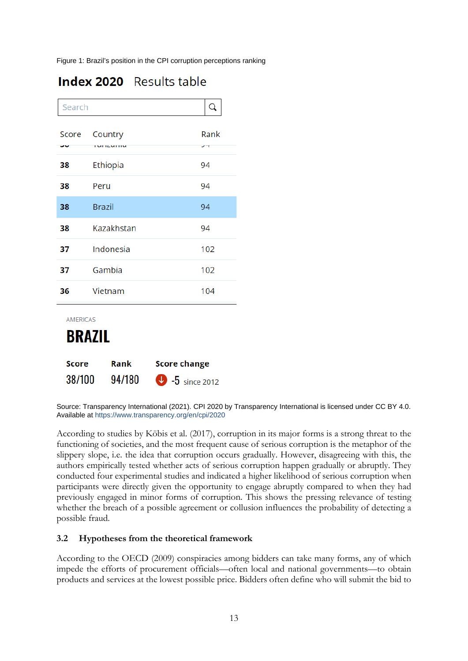Figure 1: Brazil's position in the CPI corruption perceptions ranking

| Search                           |                              |      |  |  |
|----------------------------------|------------------------------|------|--|--|
| Score                            | Country<br><b>I UITZUITU</b> | Rank |  |  |
| 38                               | Ethiopia                     | 94   |  |  |
| 38                               | Peru                         | 94   |  |  |
| 38                               | <b>Brazil</b>                | 94   |  |  |
| 38                               | Kazakhstan                   | 94   |  |  |
| 37                               | Indonesia                    | 102  |  |  |
| 37                               | Gambia                       | 102  |  |  |
| 36                               | Vietnam                      | 104  |  |  |
| <b>AMERICAS</b><br><b>BRAZIL</b> |                              |      |  |  |

| Score  | Rank   | <b>Score change</b>     |
|--------|--------|-------------------------|
| 38/100 | 94/180 | $\bullet$ -5 since 2012 |

Source: Transparency International (2021). CPI 2020 by Transparency International is licensed under CC BY 4.0. Available at<https://www.transparency.org/en/cpi/2020>

According to studies by Köbis et al. (2017), corruption in its major forms is a strong threat to the functioning of societies, and the most frequent cause of serious corruption is the metaphor of the slippery slope, i.e. the idea that corruption occurs gradually. However, disagreeing with this, the authors empirically tested whether acts of serious corruption happen gradually or abruptly. They conducted four experimental studies and indicated a higher likelihood of serious corruption when participants were directly given the opportunity to engage abruptly compared to when they had previously engaged in minor forms of corruption. This shows the pressing relevance of testing whether the breach of a possible agreement or collusion influences the probability of detecting a possible fraud.

## **3.2 Hypotheses from the theoretical framework**

According to the OECD (2009) conspiracies among bidders can take many forms, any of which impede the efforts of procurement officials—often local and national governments—to obtain products and services at the lowest possible price. Bidders often define who will submit the bid to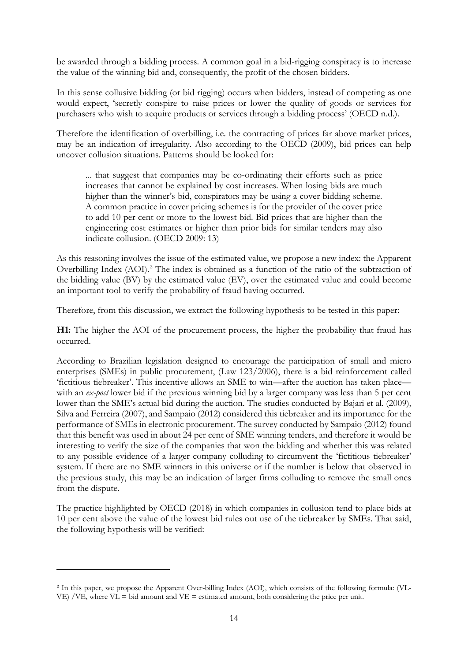be awarded through a bidding process. A common goal in a bid-rigging conspiracy is to increase the value of the winning bid and, consequently, the profit of the chosen bidders.

In this sense collusive bidding (or bid rigging) occurs when bidders, instead of competing as one would expect, 'secretly conspire to raise prices or lower the quality of goods or services for purchasers who wish to acquire products or services through a bidding process' (OECD n.d.).

Therefore the identification of overbilling, i.e. the contracting of prices far above market prices, may be an indication of irregularity. Also according to the OECD (2009), bid prices can help uncover collusion situations. Patterns should be looked for:

... that suggest that companies may be co-ordinating their efforts such as price increases that cannot be explained by cost increases. When losing bids are much higher than the winner's bid, conspirators may be using a cover bidding scheme. A common practice in cover pricing schemes is for the provider of the cover price to add 10 per cent or more to the lowest bid. Bid prices that are higher than the engineering cost estimates or higher than prior bids for similar tenders may also indicate collusion. (OECD 2009: 13)

As this reasoning involves the issue of the estimated value, we propose a new index: the Apparent Overbilling Index (AOI). [2](#page-15-0) The index is obtained as a function of the ratio of the subtraction of the bidding value (BV) by the estimated value (EV), over the estimated value and could become an important tool to verify the probability of fraud having occurred.

Therefore, from this discussion, we extract the following hypothesis to be tested in this paper:

**H1:** The higher the AOI of the procurement process, the higher the probability that fraud has occurred.

According to Brazilian legislation designed to encourage the participation of small and micro enterprises (SMEs) in public procurement, (Law 123/2006), there is a bid reinforcement called 'fictitious tiebreaker'. This incentive allows an SME to win—after the auction has taken place with an *ex-post* lower bid if the previous winning bid by a larger company was less than 5 per cent lower than the SME's actual bid during the auction. The studies conducted by Bajari et al. (2009), Silva and Ferreira (2007), and Sampaio (2012) considered this tiebreaker and its importance for the performance of SMEs in electronic procurement. The survey conducted by Sampaio (2012) found that this benefit was used in about 24 per cent of SME winning tenders, and therefore it would be interesting to verify the size of the companies that won the bidding and whether this was related to any possible evidence of a larger company colluding to circumvent the 'fictitious tiebreaker' system. If there are no SME winners in this universe or if the number is below that observed in the previous study, this may be an indication of larger firms colluding to remove the small ones from the dispute.

The practice highlighted by OECD (2018) in which companies in collusion tend to place bids at 10 per cent above the value of the lowest bid rules out use of the tiebreaker by SMEs. That said, the following hypothesis will be verified:

<span id="page-15-0"></span>² In this paper, we propose the Apparent Over-billing Index (AOI), which consists of the following formula: (VL-VE) /VE, where  $VL = bid$  amount and  $VE = estimated$  amount, both considering the price per unit.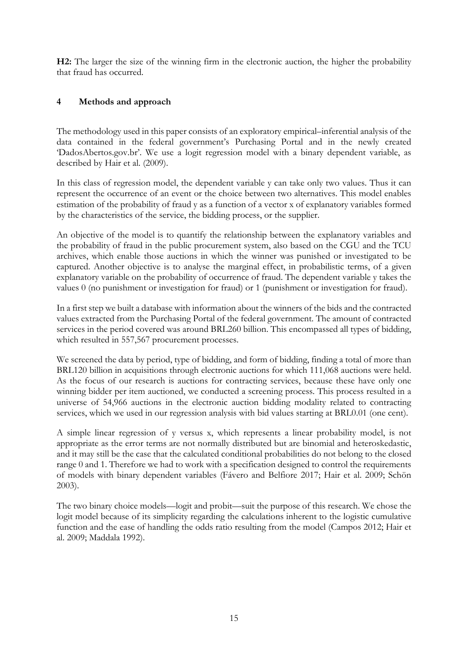**H2:** The larger the size of the winning firm in the electronic auction, the higher the probability that fraud has occurred.

## **4 Methods and approach**

The methodology used in this paper consists of an exploratory empirical–inferential analysis of the data contained in the federal government's Purchasing Portal and in the newly created 'DadosAbertos.gov.br'. We use a logit regression model with a binary dependent variable, as described by Hair et al. (2009).

In this class of regression model, the dependent variable y can take only two values. Thus it can represent the occurrence of an event or the choice between two alternatives. This model enables estimation of the probability of fraud y as a function of a vector x of explanatory variables formed by the characteristics of the service, the bidding process, or the supplier.

An objective of the model is to quantify the relationship between the explanatory variables and the probability of fraud in the public procurement system, also based on the CGU and the TCU archives, which enable those auctions in which the winner was punished or investigated to be captured. Another objective is to analyse the marginal effect, in probabilistic terms, of a given explanatory variable on the probability of occurrence of fraud. The dependent variable y takes the values 0 (no punishment or investigation for fraud) or 1 (punishment or investigation for fraud).

In a first step we built a database with information about the winners of the bids and the contracted values extracted from the Purchasing Portal of the federal government. The amount of contracted services in the period covered was around BRL260 billion. This encompassed all types of bidding, which resulted in 557,567 procurement processes.

We screened the data by period, type of bidding, and form of bidding, finding a total of more than BRL120 billion in acquisitions through electronic auctions for which 111,068 auctions were held. As the focus of our research is auctions for contracting services, because these have only one winning bidder per item auctioned, we conducted a screening process. This process resulted in a universe of 54,966 auctions in the electronic auction bidding modality related to contracting services, which we used in our regression analysis with bid values starting at BRL0.01 (one cent).

A simple linear regression of y versus x, which represents a linear probability model, is not appropriate as the error terms are not normally distributed but are binomial and heteroskedastic, and it may still be the case that the calculated conditional probabilities do not belong to the closed range 0 and 1. Therefore we had to work with a specification designed to control the requirements of models with binary dependent variables (Fávero and Belfiore 2017; Hair et al. 2009; Schön 2003).

The two binary choice models—logit and probit—suit the purpose of this research. We chose the logit model because of its simplicity regarding the calculations inherent to the logistic cumulative function and the ease of handling the odds ratio resulting from the model (Campos 2012; Hair et al. 2009; Maddala 1992).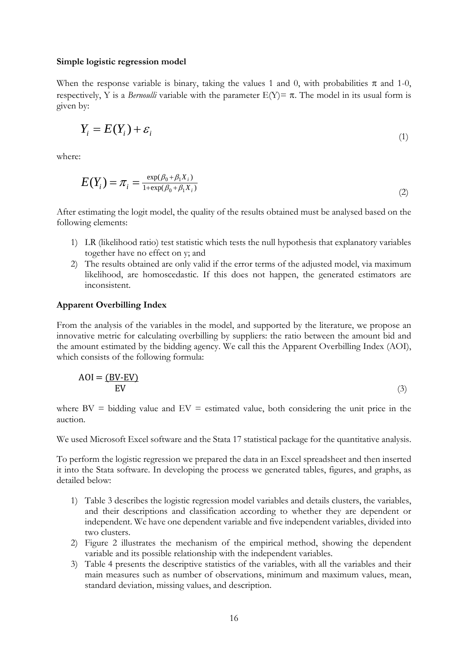#### **Simple logistic regression model**

When the response variable is binary, taking the values 1 and 0, with probabilities  $\pi$  and 1-0, respectively, Y is a *Bernoulli* variable with the parameter  $E(Y) = \pi$ . The model in its usual form is given by:

$$
Y_i = E(Y_i) + \varepsilon_i \tag{1}
$$

where:

$$
E(Y_i) = \pi_i = \frac{\exp(\beta_0 + \beta_1 X_i)}{1 + \exp(\beta_0 + \beta_1 X_i)}
$$
\n<sup>(2)</sup>

After estimating the logit model, the quality of the results obtained must be analysed based on the following elements:

- 1) LR (likelihood ratio) test statistic which tests the null hypothesis that explanatory variables together have no effect on y; and
- 2) The results obtained are only valid if the error terms of the adjusted model, via maximum likelihood, are homoscedastic. If this does not happen, the generated estimators are inconsistent.

#### **Apparent Overbilling Index**

From the analysis of the variables in the model, and supported by the literature, we propose an innovative metric for calculating overbilling by suppliers: the ratio between the amount bid and the amount estimated by the bidding agency. We call this the Apparent Overbilling Index (AOI), which consists of the following formula:

$$
AOI = (BV-EV)
$$
  
EV (3)

where  $BV =$  bidding value and  $EV =$  estimated value, both considering the unit price in the auction.

We used Microsoft Excel software and the Stata 17 statistical package for the quantitative analysis.

To perform the logistic regression we prepared the data in an Excel spreadsheet and then inserted it into the Stata software. In developing the process we generated tables, figures, and graphs, as detailed below:

- 1) Table 3 describes the logistic regression model variables and details clusters, the variables, and their descriptions and classification according to whether they are dependent or independent. We have one dependent variable and five independent variables, divided into two clusters.
- 2) Figure 2 illustrates the mechanism of the empirical method, showing the dependent variable and its possible relationship with the independent variables.
- 3) Table 4 presents the descriptive statistics of the variables, with all the variables and their main measures such as number of observations, minimum and maximum values, mean, standard deviation, missing values, and description.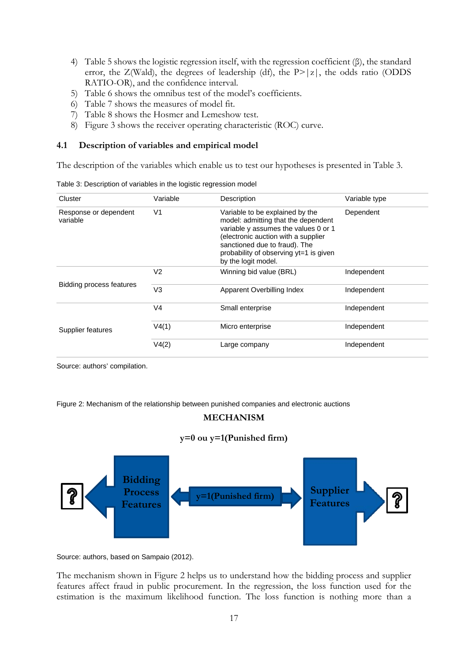- 4) Table 5 shows the logistic regression itself, with the regression coefficient (β), the standard error, the Z(Wald), the degrees of leadership (df), the  $P > |z|$ , the odds ratio (ODDS RATIO-OR), and the confidence interval.
- 5) Table 6 shows the omnibus test of the model's coefficients.
- 6) Table 7 shows the measures of model fit.
- 7) Table 8 shows the Hosmer and Lemeshow test.
- 8) Figure 3 shows the receiver operating characteristic (ROC) curve.

#### **4.1 Description of variables and empirical model**

The description of the variables which enable us to test our hypotheses is presented in Table 3.

| rable 5. Description or variables in the logistic regression model |                |                                                                                                                                                                                                                                                         |               |  |  |  |
|--------------------------------------------------------------------|----------------|---------------------------------------------------------------------------------------------------------------------------------------------------------------------------------------------------------------------------------------------------------|---------------|--|--|--|
| Cluster                                                            | Variable       | Description                                                                                                                                                                                                                                             | Variable type |  |  |  |
| Response or dependent<br>variable                                  | V <sub>1</sub> | Variable to be explained by the<br>model: admitting that the dependent<br>variable y assumes the values 0 or 1<br>(electronic auction with a supplier<br>sanctioned due to fraud). The<br>probability of observing yt=1 is given<br>by the logit model. | Dependent     |  |  |  |
|                                                                    | V <sub>2</sub> | Winning bid value (BRL)                                                                                                                                                                                                                                 | Independent   |  |  |  |
| Bidding process features                                           | V <sub>3</sub> | Apparent Overbilling Index                                                                                                                                                                                                                              | Independent   |  |  |  |
|                                                                    | V <sub>4</sub> | Small enterprise                                                                                                                                                                                                                                        | Independent   |  |  |  |
| Supplier features                                                  | V4(1)          | Micro enterprise                                                                                                                                                                                                                                        | Independent   |  |  |  |
|                                                                    | V4(2)          | Large company                                                                                                                                                                                                                                           | Independent   |  |  |  |

Table 3: Description of variables in the logistic regression model

Source: authors' compilation.

Figure 2: Mechanism of the relationship between punished companies and electronic auctions

# **MECHANISM**

## **y=0 ou y=1(Punished firm)**



Source: authors, based on Sampaio (2012).

The mechanism shown in Figure 2 helps us to understand how the bidding process and supplier features affect fraud in public procurement. In the regression, the loss function used for the estimation is the maximum likelihood function. The loss function is nothing more than a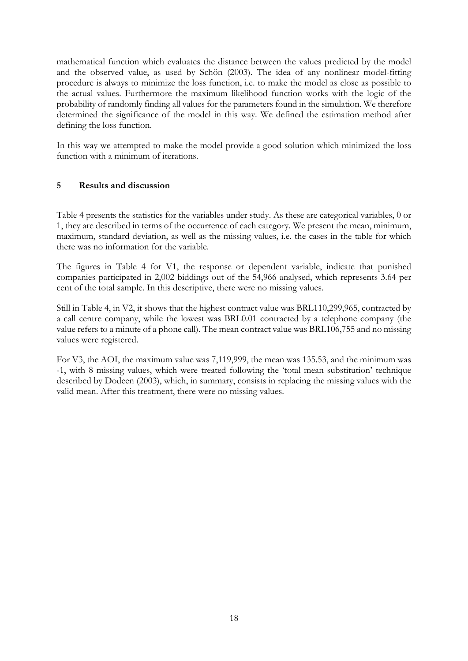mathematical function which evaluates the distance between the values predicted by the model and the observed value, as used by Schön (2003). The idea of any nonlinear model-fitting procedure is always to minimize the loss function, i.e. to make the model as close as possible to the actual values. Furthermore the maximum likelihood function works with the logic of the probability of randomly finding all values for the parameters found in the simulation. We therefore determined the significance of the model in this way. We defined the estimation method after defining the loss function.

In this way we attempted to make the model provide a good solution which minimized the loss function with a minimum of iterations.

## **5 Results and discussion**

Table 4 presents the statistics for the variables under study. As these are categorical variables, 0 or 1, they are described in terms of the occurrence of each category. We present the mean, minimum, maximum, standard deviation, as well as the missing values, i.e. the cases in the table for which there was no information for the variable.

The figures in Table 4 for V1, the response or dependent variable, indicate that punished companies participated in 2,002 biddings out of the 54,966 analysed, which represents 3.64 per cent of the total sample. In this descriptive, there were no missing values.

Still in Table 4, in V2, it shows that the highest contract value was BRL110,299,965, contracted by a call centre company, while the lowest was BRL0.01 contracted by a telephone company (the value refers to a minute of a phone call). The mean contract value was BRL106,755 and no missing values were registered.

For V3, the AOI, the maximum value was 7,119,999, the mean was 135.53, and the minimum was -1, with 8 missing values, which were treated following the 'total mean substitution' technique described by Dodeen (2003), which, in summary, consists in replacing the missing values with the valid mean. After this treatment, there were no missing values.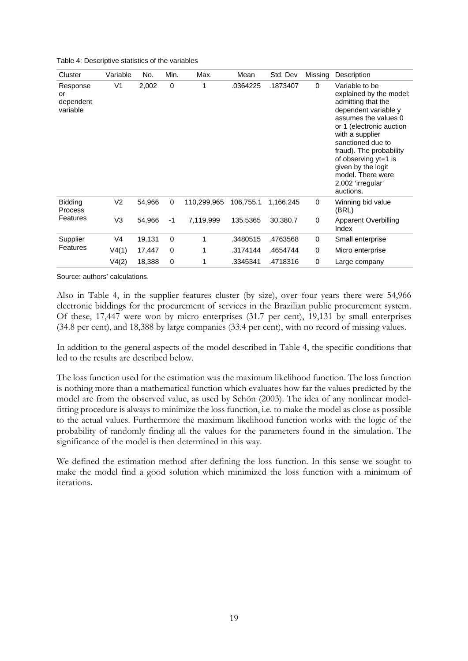Table 4: Descriptive statistics of the variables

| Cluster                                 | Variable       | No.    | Min.        | Max.        | Mean      | Std. Dev  | Missing | Description                                                                                                                                                                                                                                                                                                         |
|-----------------------------------------|----------------|--------|-------------|-------------|-----------|-----------|---------|---------------------------------------------------------------------------------------------------------------------------------------------------------------------------------------------------------------------------------------------------------------------------------------------------------------------|
| Response<br>or<br>dependent<br>variable | V <sub>1</sub> | 2,002  | $\mathbf 0$ | 1           | .0364225  | .1873407  | 0       | Variable to be<br>explained by the model:<br>admitting that the<br>dependent variable y<br>assumes the values 0<br>or 1 (electronic auction<br>with a supplier<br>sanctioned due to<br>fraud). The probability<br>of observing yt=1 is<br>given by the logit<br>model. There were<br>2,002 'irregular'<br>auctions. |
| <b>Bidding</b><br><b>Process</b>        | V <sub>2</sub> | 54,966 | $\mathbf 0$ | 110,299,965 | 106,755.1 | 1,166,245 | 0       | Winning bid value<br>(BRL)                                                                                                                                                                                                                                                                                          |
| <b>Features</b>                         | V3             | 54,966 | $-1$        | 7,119,999   | 135.5365  | 30,380.7  | 0       | <b>Apparent Overbilling</b><br>Index                                                                                                                                                                                                                                                                                |
| Supplier                                | V <sub>4</sub> | 19,131 | $\mathbf 0$ | 1           | .3480515  | .4763568  | 0       | Small enterprise                                                                                                                                                                                                                                                                                                    |
| <b>Features</b>                         | V4(1)          | 17,447 | 0           | 1           | .3174144  | .4654744  | 0       | Micro enterprise                                                                                                                                                                                                                                                                                                    |
|                                         | V4(2)          | 18,388 | 0           | 1           | .3345341  | .4718316  | 0       | Large company                                                                                                                                                                                                                                                                                                       |

Source: authors' calculations.

Also in Table 4, in the supplier features cluster (by size), over four years there were 54,966 electronic biddings for the procurement of services in the Brazilian public procurement system. Of these, 17,447 were won by micro enterprises (31.7 per cent), 19,131 by small enterprises (34.8 per cent), and 18,388 by large companies (33.4 per cent), with no record of missing values.

In addition to the general aspects of the model described in Table 4, the specific conditions that led to the results are described below.

The loss function used for the estimation was the maximum likelihood function. The loss function is nothing more than a mathematical function which evaluates how far the values predicted by the model are from the observed value, as used by Schön (2003). The idea of any nonlinear modelfitting procedure is always to minimize the loss function, i.e. to make the model as close as possible to the actual values. Furthermore the maximum likelihood function works with the logic of the probability of randomly finding all the values for the parameters found in the simulation. The significance of the model is then determined in this way.

We defined the estimation method after defining the loss function. In this sense we sought to make the model find a good solution which minimized the loss function with a minimum of iterations.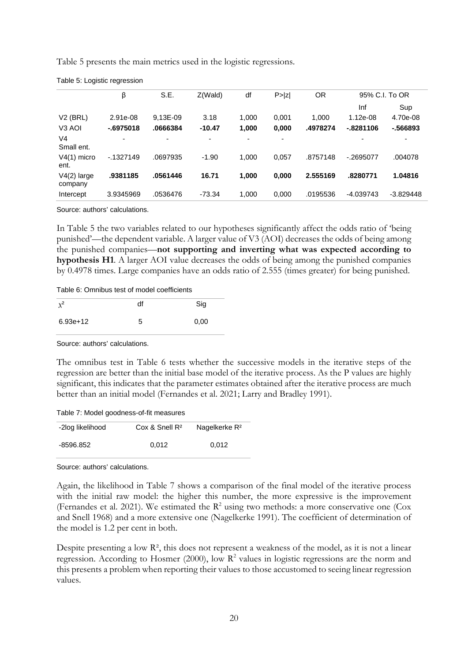Table 5 presents the main metrics used in the logistic regressions.

|                              | β          | S.E.                     | Z(Wald)  | df    | P >  Z | OR       |              | 95% C.I. To OR |
|------------------------------|------------|--------------------------|----------|-------|--------|----------|--------------|----------------|
|                              |            |                          |          |       |        |          | Inf          | Sup            |
| $V2$ (BRL)                   | 2.91e-08   | 9,13E-09                 | 3.18     | 1,000 | 0,001  | 1.000    | $1.12e-08$   | 4.70e-08       |
| V <sub>3</sub> AOI           | $-6975018$ | .0666384                 | $-10.47$ | 1,000 | 0,000  | .4978274 | $-0.8281106$ | $-566893$      |
| V <sub>4</sub><br>Small ent. | ۰          | $\overline{\phantom{a}}$ |          |       |        |          |              | -              |
| $V4(1)$ micro<br>ent.        | $-1327149$ | .0697935                 | $-1.90$  | 1.000 | 0,057  | .8757148 | $-0.2695077$ | .004078        |
| $V4(2)$ large<br>company     | .9381185   | .0561446                 | 16.71    | 1,000 | 0,000  | 2.555169 | .8280771     | 1.04816        |
| Intercept                    | 3.9345969  | .0536476                 | $-73.34$ | 1,000 | 0,000  | .0195536 | $-4.039743$  | $-3.829448$    |

Table 5: Logistic regression

Source: authors' calculations.

In Table 5 the two variables related to our hypotheses significantly affect the odds ratio of 'being punished'—the dependent variable. A larger value of V3 (AOI) decreases the odds of being among the punished companies—**not supporting and inverting what was expected according to hypothesis H1**. A larger AOI value decreases the odds of being among the punished companies by 0.4978 times. Large companies have an odds ratio of 2.555 (times greater) for being punished.

Table 6: Omnibus test of model coefficients

| $x^2$      | df | Sig  |
|------------|----|------|
| $6.93e+12$ | 5  | 0,00 |

Source: authors' calculations.

The omnibus test in Table 6 tests whether the successive models in the iterative steps of the regression are better than the initial base model of the iterative process. As the P values are highly significant, this indicates that the parameter estimates obtained after the iterative process are much better than an initial model (Fernandes et al. 2021; Larry and Bradley 1991).

Table 7: Model goodness-of-fit measures

| -2log likelihood | $Cox$ & Snell $R^2$ | Nagelkerke R <sup>2</sup> |
|------------------|---------------------|---------------------------|
| -8596.852        | 0.012               | 0.012                     |

Source: authors' calculations.

Again, the likelihood in Table 7 shows a comparison of the final model of the iterative process with the initial raw model: the higher this number, the more expressive is the improvement (Fernandes et al. 2021). We estimated the  $R^2$  using two methods: a more conservative one (Cox and Snell 1968) and a more extensive one (Nagelkerke 1991). The coefficient of determination of the model is 1.2 per cent in both.

Despite presenting a low  $\mathbb{R}^2$ , this does not represent a weakness of the model, as it is not a linear regression. According to Hosmer (2000), low  $\mathbb{R}^2$  values in logistic regressions are the norm and this presents a problem when reporting their values to those accustomed to seeing linear regression values.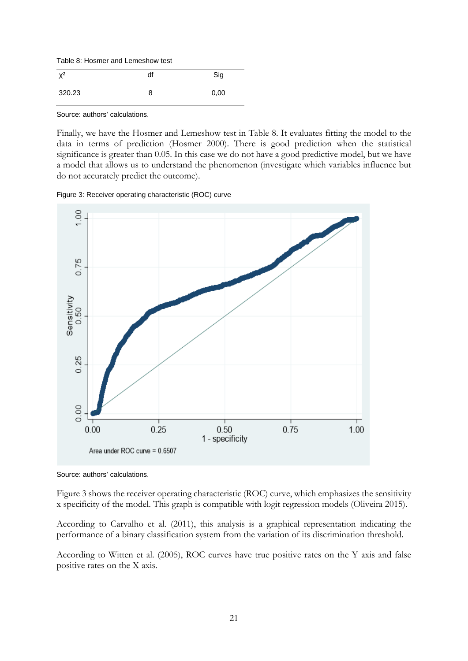Table 8: Hosmer and Lemeshow test

| $X^2$  | df | Sig  |
|--------|----|------|
| 320.23 |    | 0,00 |

Source: authors' calculations.

Finally, we have the Hosmer and Lemeshow test in Table 8. It evaluates fitting the model to the data in terms of prediction (Hosmer 2000). There is good prediction when the statistical significance is greater than 0.05. In this case we do not have a good predictive model, but we have a model that allows us to understand the phenomenon (investigate which variables influence but do not accurately predict the outcome).

Figure 3: Receiver operating characteristic (ROC) curve



Source: authors' calculations.

Figure 3 shows the receiver operating characteristic (ROC) curve, which emphasizes the sensitivity x specificity of the model. This graph is compatible with logit regression models (Oliveira 2015).

According to Carvalho et al. (2011), this analysis is a graphical representation indicating the performance of a binary classification system from the variation of its discrimination threshold.

According to Witten et al. (2005), ROC curves have true positive rates on the Y axis and false positive rates on the X axis.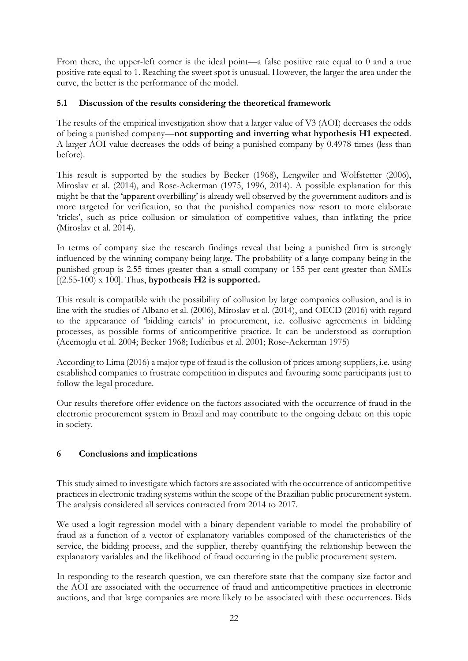From there, the upper-left corner is the ideal point—a false positive rate equal to 0 and a true positive rate equal to 1. Reaching the sweet spot is unusual. However, the larger the area under the curve, the better is the performance of the model.

## **5.1 Discussion of the results considering the theoretical framework**

The results of the empirical investigation show that a larger value of V3 (AOI) decreases the odds of being a punished company—**not supporting and inverting what hypothesis H1 expected**. A larger AOI value decreases the odds of being a punished company by 0.4978 times (less than before).

This result is supported by the studies by Becker (1968), Lengwiler and Wolfstetter (2006), Miroslav et al. (2014), and Rose-Ackerman (1975, 1996, 2014). A possible explanation for this might be that the 'apparent overbilling' is already well observed by the government auditors and is more targeted for verification, so that the punished companies now resort to more elaborate 'tricks', such as price collusion or simulation of competitive values, than inflating the price (Miroslav et al. 2014).

In terms of company size the research findings reveal that being a punished firm is strongly influenced by the winning company being large. The probability of a large company being in the punished group is 2.55 times greater than a small company or 155 per cent greater than SMEs [(2.55-100) x 100]. Thus, **hypothesis H2 is supported.**

This result is compatible with the possibility of collusion by large companies collusion, and is in line with the studies of Albano et al. (2006), Miroslav et al. (2014), and OECD (2016) with regard to the appearance of 'bidding cartels' in procurement, i.e. collusive agreements in bidding processes, as possible forms of anticompetitive practice. It can be understood as corruption (Acemoglu et al. 2004; Becker 1968; Iudícibus et al. 2001; Rose-Ackerman 1975)

According to Lima (2016) a major type of fraud is the collusion of prices among suppliers, i.e. using established companies to frustrate competition in disputes and favouring some participants just to follow the legal procedure.

Our results therefore offer evidence on the factors associated with the occurrence of fraud in the electronic procurement system in Brazil and may contribute to the ongoing debate on this topic in society.

## **6 Conclusions and implications**

This study aimed to investigate which factors are associated with the occurrence of anticompetitive practices in electronic trading systems within the scope of the Brazilian public procurement system. The analysis considered all services contracted from 2014 to 2017.

We used a logit regression model with a binary dependent variable to model the probability of fraud as a function of a vector of explanatory variables composed of the characteristics of the service, the bidding process, and the supplier, thereby quantifying the relationship between the explanatory variables and the likelihood of fraud occurring in the public procurement system.

In responding to the research question, we can therefore state that the company size factor and the AOI are associated with the occurrence of fraud and anticompetitive practices in electronic auctions, and that large companies are more likely to be associated with these occurrences. Bids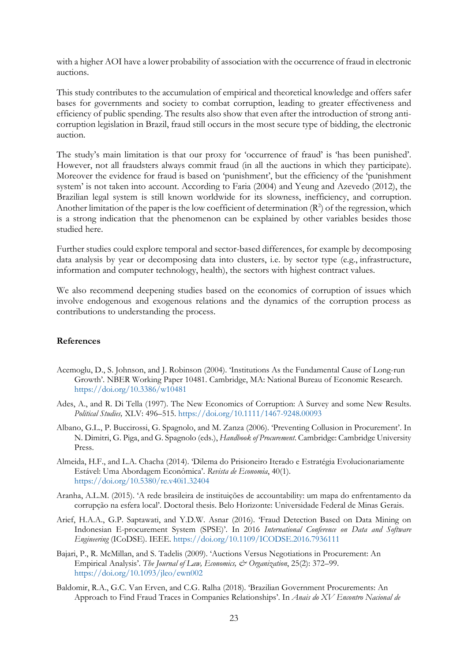with a higher AOI have a lower probability of association with the occurrence of fraud in electronic auctions.

This study contributes to the accumulation of empirical and theoretical knowledge and offers safer bases for governments and society to combat corruption, leading to greater effectiveness and efficiency of public spending. The results also show that even after the introduction of strong anticorruption legislation in Brazil, fraud still occurs in the most secure type of bidding, the electronic auction.

The study's main limitation is that our proxy for 'occurrence of fraud' is 'has been punished'. However, not all fraudsters always commit fraud (in all the auctions in which they participate). Moreover the evidence for fraud is based on 'punishment', but the efficiency of the 'punishment system' is not taken into account. According to Faria (2004) and Yeung and Azevedo (2012), the Brazilian legal system is still known worldwide for its slowness, inefficiency, and corruption. Another limitation of the paper is the low coefficient of determination  $(R^2)$  of the regression, which is a strong indication that the phenomenon can be explained by other variables besides those studied here.

Further studies could explore temporal and sector-based differences, for example by decomposing data analysis by year or decomposing data into clusters, i.e. by sector type (e.g., infrastructure, information and computer technology, health), the sectors with highest contract values.

We also recommend deepening studies based on the economics of corruption of issues which involve endogenous and exogenous relations and the dynamics of the corruption process as contributions to understanding the process.

#### **References**

- Acemoglu, D., S. Johnson, and J. Robinson (2004). 'Institutions As the Fundamental Cause of Long-run Growth'. NBER Working Paper 10481. Cambridge, MA: National Bureau of Economic Research. <https://doi.org/10.3386/w10481>
- Ades, A., and R. Di Tella (1997). The New Economics of Corruption: A Survey and some New Results. *Political Studies,* XLV: 496–515.<https://doi.org/10.1111/1467-9248.00093>
- Albano, G.L., P. Buccirossi, G. Spagnolo, and M. Zanza (2006). 'Preventing Collusion in Procurement'. In N. Dimitri, G. Piga, and G. Spagnolo (eds.), *Handbook of Procurement*. Cambridge: Cambridge University Press.
- Almeida, H.F., and L.A. Chacha (2014). 'Dilema do Prisioneiro Iterado e Estratégia Evolucionariamente Estável: Uma Abordagem Econômica'. *Revista de Economia*, 40(1). <https://doi.org/10.5380/re.v40i1.32404>
- Aranha, A.L.M. (2015). 'A rede brasileira de instituições de accountability: um mapa do enfrentamento da corrupção na esfera local'. Doctoral thesis. Belo Horizonte: Universidade Federal de Minas Gerais.
- Arief, H.A.A., G.P. Saptawati, and Y.D.W. Asnar (2016). 'Fraud Detection Based on Data Mining on Indonesian E-procurement System (SPSE)'. In 2016 *International Conference on Data and Software Engineering* (ICoDSE). IEEE. <https://doi.org/10.1109/ICODSE.2016.7936111>
- Bajari, P., R. McMillan, and S. Tadelis (2009). 'Auctions Versus Negotiations in Procurement: An Empirical Analysis'. *The Journal of Law, Economics, & Organization*, 25(2): 372–99. <https://doi.org/10.1093/jleo/ewn002>
- Baldomir, R.A., G.C. Van Erven, and C.G. Ralha (2018). 'Brazilian Government Procurements: An Approach to Find Fraud Traces in Companies Relationships'. In *Anais do XV Encontro Nacional de*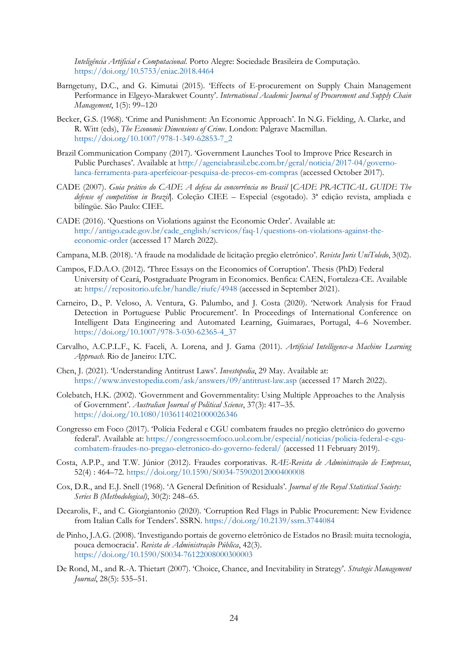*Inteligência Artificial e Computacional*. Porto Alegre: Sociedade Brasileira de Computação. <https://doi.org/10.5753/eniac.2018.4464>

- Barngetuny, D.C., and G. Kimutai (2015). 'Effects of E-procurement on Supply Chain Management Performance in Elgeyo-Marakwet County'. *International Academic Journal of Procurement and Supply Chain Management*, 1(5): 99–120
- Becker, G.S. (1968). 'Crime and Punishment: An Economic Approach'. In N.G. Fielding, A. Clarke, and R. Witt (eds), *The Economic Dimensions of Crime*. London: Palgrave Macmillan. [https://doi.org/10.1007/978-1-349-62853-7\\_2](https://doi.org/10.1007/978-1-349-62853-7_2)
- Brazil Communication Company (2017). 'Government Launches Tool to Improve Price Research in Public Purchases'. Available at [http://agenciabrasil.ebc.com.br/geral/noticia/2017-04/governo](http://agenciabrasil.ebc.com.br/geral/noticia/2017-04/governo-lanca-ferramenta-para-aperfeicoar-pesquisa-de-precos-em-compras)[lanca-ferramenta-para-aperfeicoar-pesquisa-de-precos-em-compras](http://agenciabrasil.ebc.com.br/geral/noticia/2017-04/governo-lanca-ferramenta-para-aperfeicoar-pesquisa-de-precos-em-compras) (accessed October 2017).
- CADE (2007). *Guia prático do CADE A defesa da concorrência no Brasil* [*CADE PRACTICAL GUIDE The defense of competition in Brazil*]. Coleção CIEE – Especial (esgotado). 3ª edição revista, ampliada e bilíngüe. São Paulo: CIEE.
- CADE (2016). 'Questions on Violations against the Economic Order'. Available at: [http://antigo.cade.gov.br/cade\\_english/servicos/faq-1/questions-on-violations-against-the](http://antigo.cade.gov.br/cade_english/servicos/faq-1/questions-on-violations-against-the-economic-order)[economic-order](http://antigo.cade.gov.br/cade_english/servicos/faq-1/questions-on-violations-against-the-economic-order) (accessed 17 March 2022).
- Campana, M.B. (2018). 'A fraude na modalidade de licitação pregão eletrônico'. *Revista Juris UniToledo*, 3(02).
- Campos, F.D.A.O. (2012). 'Three Essays on the Economics of Corruption'. Thesis (PhD) Federal University of Ceará, Postgraduate Program in Economics. Benfica: CAEN, Fortaleza-CE. Available at:<https://repositorio.ufc.br/handle/riufc/4948> (accessed in September 2021).
- Carneiro, D., P. Veloso, A. Ventura, G. Palumbo, and J. Costa (2020). 'Network Analysis for Fraud Detection in Portuguese Public Procurement'. In Proceedings of International Conference on Intelligent Data Engineering and Automated Learning, Guimaraes, Portugal, 4–6 November. [https://doi.org/10.1007/978-3-030-62365-4\\_37](https://doi.org/10.1007/978-3-030-62365-4_37)
- Carvalho, A.C.P.L.F., K. Faceli, A. Lorena, and J. Gama (2011). *Artificial Intelligence-a Machine Learning Approach*. Rio de Janeiro: LTC.
- Chen, J. (2021). 'Understanding Antitrust Laws'. *Investopedia*, 29 May. Available at: <https://www.investopedia.com/ask/answers/09/antitrust-law.asp> (accessed 17 March 2022).
- Colebatch, H.K. (2002). 'Government and Governmentality: Using Multiple Approaches to the Analysis of Government'. *Australian Journal of Political Science*, 37(3): 417–35. <https://doi.org/10.1080/1036114021000026346>
- Congresso em Foco (2017). 'Polícia Federal e CGU combatem fraudes no pregão eletrônico do governo federal'. Available at: [https://congressoemfoco.uol.com.br/especial/noticias/policia-federal-e-cgu](https://congressoemfoco.uol.com.br/especial/noticias/policia-federal-e-cgu-combatem-fraudes-no-pregao-eletronico-do-governo-federal/)[combatem-fraudes-no-pregao-eletronico-do-governo-federal/](https://congressoemfoco.uol.com.br/especial/noticias/policia-federal-e-cgu-combatem-fraudes-no-pregao-eletronico-do-governo-federal/) (accessed 11 February 2019).
- Costa, A.P.P., and T.W. Júnior (2012). Fraudes corporativas. *RAE-Revista de Administração de Empresas*, 52(4) : 464–72. <https://doi.org/10.1590/S0034-75902012000400008>
- Cox, D.R., and E.J. Snell (1968). 'A General Definition of Residuals'. *Journal of the Royal Statistical Society: Series B (Methodological)*, 30(2): 248–65.
- Decarolis, F., and C. Giorgiantonio (2020). 'Corruption Red Flags in Public Procurement: New Evidence from Italian Calls for Tenders'. SSRN. <https://doi.org/10.2139/ssrn.3744084>
- de Pinho, J.A.G. (2008). 'Investigando portais de governo eletrônico de Estados no Brasil: muita tecnologia, pouca democracia'. *Revista de Administração Pública*, 42(3). <https://doi.org/10.1590/S0034-76122008000300003>
- De Rond, M., and R.-A. Thietart (2007). 'Choice, Chance, and Inevitability in Strategy'. *Strategic Management Journal*, 28(5): 535–51.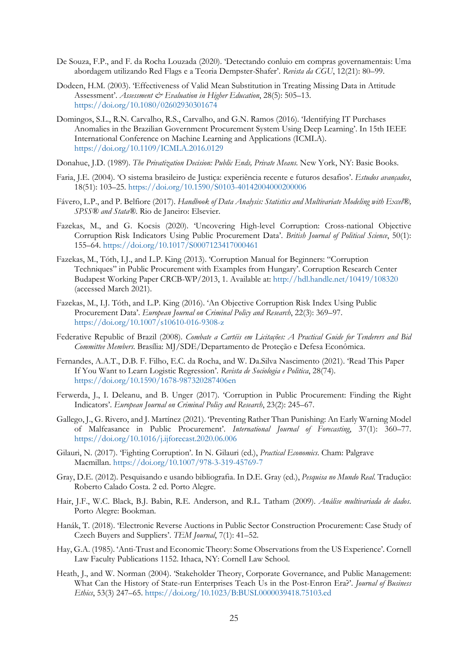- De Souza, F.P., and F. da Rocha Louzada (2020). 'Detectando conluio em compras governamentais: Uma abordagem utilizando Red Flags e a Teoria Dempster-Shafer'. *Revista da CGU*, 12(21): 80–99.
- Dodeen, H.M. (2003). 'Effectiveness of Valid Mean Substitution in Treating Missing Data in Attitude Assessment'. *Assessment & Evaluation in Higher Education*, 28(5): 505-13. <https://doi.org/10.1080/02602930301674>
- Domingos, S.L., R.N. Carvalho, R.S., Carvalho, and G.N. Ramos (2016). 'Identifying IT Purchases Anomalies in the Brazilian Government Procurement System Using Deep Learning'. In 15th IEEE International Conference on Machine Learning and Applications (ICMLA). <https://doi.org/10.1109/ICMLA.2016.0129>
- Donahue, J.D. (1989). *The Privatization Decision: Public Ends, Private Means.* New York, NY: Basic Books.
- Faria, J.E. (2004). 'O sistema brasileiro de Justiça: experiência recente e futuros desafios'. *Estudos avançados*, 18(51): 103–25. <https://doi.org/10.1590/S0103-40142004000200006>
- Fávero, L.P., and P. Belfiore (2017). *Handbook of Data Analysis: Statistics and Multivariate Modeling with Excel®*, *SPSS® and Stata®*. Rio de Janeiro: Elsevier.
- Fazekas, M., and G. Kocsis (2020). 'Uncovering High-level Corruption: Cross-national Objective Corruption Risk Indicators Using Public Procurement Data'. *British Journal of Political Science*, 50(1): 155–64. <https://doi.org/10.1017/S0007123417000461>
- Fazekas, M., Tóth, I.J., and L.P. King (2013). 'Corruption Manual for Beginners: "Corruption Techniques" in Public Procurement with Examples from Hungary'. Corruption Research Center Budapest Working Paper CRCB-WP/2013, 1. Available at:<http://hdl.handle.net/10419/108320> (accessed March 2021).
- Fazekas, M., I.J. Tóth, and L.P. King (2016). 'An Objective Corruption Risk Index Using Public Procurement Data'. *European Journal on Criminal Policy and Research*, 22(3): 369–97. <https://doi.org/10.1007/s10610-016-9308-z>
- Federative Republic of Brazil (2008). *Combate a Cartéis em Licitações: A Practical Guide for Tenderers and Bid Committee Members*. Brasília: MJ/SDE/Departamento de Proteção e Defesa Econômica.
- Fernandes, A.A.T., D.B. F. Filho, E.C. da Rocha, and W. Da.Silva Nascimento (2021). 'Read This Paper If You Want to Learn Logistic Regression'. *Revista de Sociologia e Politica*, 28(74). <https://doi.org/10.1590/1678-987320287406en>
- Ferwerda, J., I. Deleanu, and B. Unger (2017). 'Corruption in Public Procurement: Finding the Right Indicators'. *European Journal on Criminal Policy and Research*, 23(2): 245–67.
- Gallego, J., G. Rivero, and J. Martínez (2021). 'Preventing Rather Than Punishing: An Early Warning Model of Malfeasance in Public Procurement'. *International Journal of Forecasting*, 37(1): 360–77. <https://doi.org/10.1016/j.ijforecast.2020.06.006>
- Gilauri, N. (2017). 'Fighting Corruption'. In N. Gilauri (ed.), *Practical Economics*. Cham: Palgrave Macmillan.<https://doi.org/10.1007/978-3-319-45769-7>
- Gray, D.E. (2012). Pesquisando e usando bibliografia. In D.E. Gray (ed.), *Pesquisa no Mundo Real*. Tradução: Roberto Calado Costa. 2 ed. Porto Alegre.
- Hair, J.F., W.C. Black, B.J. Babin, R.E. Anderson, and R.L. Tatham (2009). *Análise multivariada de dados*. Porto Alegre: Bookman.
- Hanák, T. (2018). 'Electronic Reverse Auctions in Public Sector Construction Procurement: Case Study of Czech Buyers and Suppliers'. *TEM Journal*, 7(1): 41–52.
- Hay, G.A. (1985). 'Anti-Trust and Economic Theory: Some Observations from the US Experience'. Cornell Law Faculty Publications 1152. Ithaca, NY: Cornell Law School.
- Heath, J., and W. Norman (2004). 'Stakeholder Theory, Corporate Governance, and Public Management: What Can the History of State-run Enterprises Teach Us in the Post-Enron Era?'. *Journal of Business Ethics*, 53(3) 247–65. <https://doi.org/10.1023/B:BUSI.0000039418.75103.ed>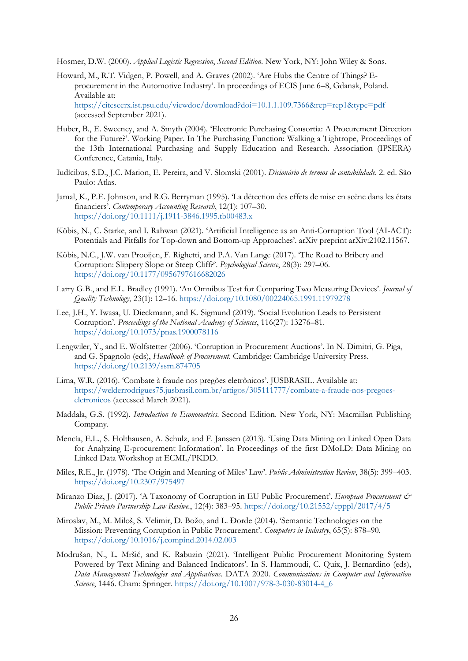Hosmer, D.W. (2000). *Applied Logistic Regression*, *Second Edition*. New York, NY: John Wiley & Sons.

Howard, M., R.T. Vidgen, P. Powell, and A. Graves (2002). 'Are Hubs the Centre of Things? Eprocurement in the Automotive Industry'. In proceedings of ECIS June 6–8, Gdansk, Poland. Available at: <https://citeseerx.ist.psu.edu/viewdoc/download?doi=10.1.1.109.7366&rep=rep1&type=pdf>

(accessed September 2021).

- Huber, B., E. Sweeney, and A. Smyth (2004). 'Electronic Purchasing Consortia: A Procurement Direction for the Future?'. Working Paper. In The Purchasing Function: Walking a Tightrope, Proceedings of the 13th International Purchasing and Supply Education and Research. Association (IPSERA) Conference, Catania, Italy.
- Iudícibus, S.D., J.C. Marion, E. Pereira, and V. Slomski (2001). *Dicionário de termos de contabilidade*. 2. ed. São Paulo: Atlas.
- Jamal, K., P.E. Johnson, and R.G. Berryman (1995). 'La détection des effets de mise en scène dans les états financiers'. *Contemporary Accounting Research*, 12(1): 107–30. <https://doi.org/10.1111/j.1911-3846.1995.tb00483.x>
- Köbis, N., C. Starke, and I. Rahwan (2021). 'Artificial Intelligence as an Anti-Corruption Tool (AI-ACT): Potentials and Pitfalls for Top-down and Bottom-up Approaches'. arXiv preprint arXiv:2102.11567.
- Köbis, N.C., J.W. van Prooijen, F. Righetti, and P.A. Van Lange (2017). 'The Road to Bribery and Corruption: Slippery Slope or Steep Cliff?'. *Psychological Science*, 28(3): 297–06. [https://doi.org/10.1177/0956797616682026](https://doi.org/10.1177%2F0956797616682026)
- Larry G.B., and E.L. Bradley (1991). 'An Omnibus Test for Comparing Two Measuring Devices'. *Journal of Quality Technology*, 23(1): 12–16. <https://doi.org/10.1080/00224065.1991.11979278>
- Lee, J.H., Y. Iwasa, U. Dieckmann, and K. Sigmund (2019). 'Social Evolution Leads to Persistent Corruption'. *Proceedings of the National Academy of Sciences*, 116(27): 13276–81. <https://doi.org/10.1073/pnas.1900078116>
- Lengwiler, Y., and E. Wolfstetter (2006). 'Corruption in Procurement Auctions'. In N. Dimitri, G. Piga, and G. Spagnolo (eds), *Handbook of Procurement*. Cambridge: Cambridge University Press. <https://doi.org/10.2139/ssrn.874705>
- Lima, W.R. (2016). 'Combate à fraude nos pregões eletrônicos'. JUSBRASIL. Available at: [https://welderrodrigues75.jusbrasil.com.br/artigos/305111777/combate-a-fraude-nos-pregoes](https://welderrodrigues75.jusbrasil.com.br/artigos/305111777/combate-a-fraude-nos-pregoes-eletronicos)[eletronicos](https://welderrodrigues75.jusbrasil.com.br/artigos/305111777/combate-a-fraude-nos-pregoes-eletronicos) (accessed March 2021).
- Maddala, G.S. (1992). *Introduction to Econometrics*. Second Edition. New York, NY: Macmillan Publishing Company.
- Mencía, E.L., S. Holthausen, A. Schulz, and F. Janssen (2013). 'Using Data Mining on Linked Open Data for Analyzing E-procurement Information'. In Proceedings of the first DMoLD: Data Mining on Linked Data Workshop at ECML/PKDD.
- Miles, R.E., Jr. (1978). 'The Origin and Meaning of Miles' Law'. *Public Administration Review*, 38(5): 399–403. <https://doi.org/10.2307/975497>
- Miranzo Diaz, J. (2017). 'A Taxonomy of Corruption in EU Public Procurement'. *European Procurement & Public Private Partnership Law Reviwe.*, 12(4): 383–95. <https://doi.org/10.21552/epppl/2017/4/5>
- Miroslav, M., M. Miloš, S. Velimir, D. Božo, and L. Đorđe (2014). 'Semantic Technologies on the Mission: Preventing Corruption in Public Procurement'. *Computers in Industry*, 65(5): 878–90. <https://doi.org/10.1016/j.compind.2014.02.003>
- Modrušan, N., L. Mršić, and K. Rabuzin (2021). 'Intelligent Public Procurement Monitoring System Powered by Text Mining and Balanced Indicators'. In S. Hammoudi, C. Quix, J. Bernardino (eds), *Data Management Technologies and Applications*. DATA 2020. *Communications in Computer and Information Science*, 1446. Cham: Springer. [https://doi.org/10.1007/978-3-030-83014-4\\_6](https://doi.org/10.1007/978-3-030-83014-4_6)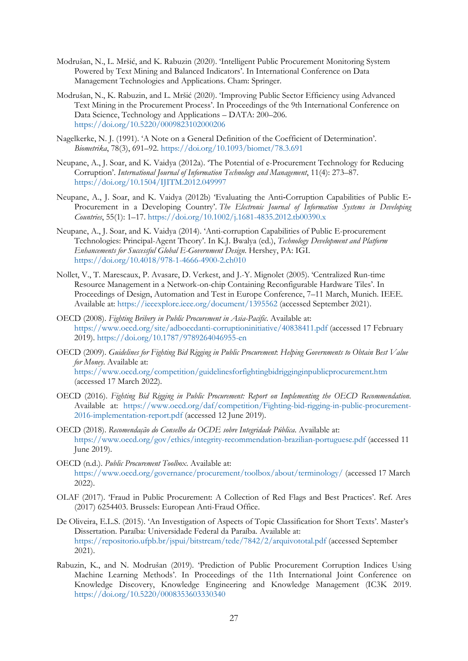- Modrušan, N., L. Mršić, and K. Rabuzin (2020). 'Intelligent Public Procurement Monitoring System Powered by Text Mining and Balanced Indicators'. In International Conference on Data Management Technologies and Applications. Cham: Springer.
- Modrušan, N., K. Rabuzin, and L. Mršić (2020). 'Improving Public Sector Efficiency using Advanced Text Mining in the Procurement Process'. In Proceedings of the 9th International Conference on Data Science, Technology and Applications – DATA: 200–206. <https://doi.org/10.5220/0009823102000206>
- Nagelkerke, N. J. (1991). 'A Note on a General Definition of the Coefficient of Determination'. *Biometrika*, 78(3), 691–92. <https://doi.org/10.1093/biomet/78.3.691>
- Neupane, A., J. Soar, and K. Vaidya (2012a). 'The Potential of e-Procurement Technology for Reducing Corruption'. *International Journal of Information Technology and Management*, 11(4): 273–87. <https://doi.org/10.1504/IJITM.2012.049997>
- Neupane, A., J. Soar, and K. Vaidya (2012b) 'Evaluating the Anti‐Corruption Capabilities of Public E‐ Procurement in a Developing Country'. *The Electronic Journal of Information Systems in Developing Countries*, 55(1): 1–17. <https://doi.org/10.1002/j.1681-4835.2012.tb00390.x>
- Neupane, A., J. Soar, and K. Vaidya (2014). 'Anti-corruption Capabilities of Public E-procurement Technologies: Principal-Agent Theory'. In K.J. Bwalya (ed.), *Technology Development and Platform Enhancements for Successful Global E-Government Design*. Hershey, PA: IGI. <https://doi.org/10.4018/978-1-4666-4900-2.ch010>
- Nollet, V., T. Marescaux, P. Avasare, D. Verkest, and J.-Y. Mignolet (2005). 'Centralized Run-time Resource Management in a Network-on-chip Containing Reconfigurable Hardware Tiles'. In Proceedings of Design, Automation and Test in Europe Conference, 7–11 March, Munich. IEEE. Available at:<https://ieeexplore.ieee.org/document/1395562> (accessed September 2021).
- OECD (2008). *Fighting Bribery in Public Procurement in Asia-Pacific*. Available at: <https://www.oecd.org/site/adboecdanti-corruptioninitiative/40838411.pdf> (accessed 17 February 2019). <https://doi.org/10.1787/9789264046955-en>
- OECD (2009). *Guidelines for Fighting Bid Rigging in Public Procurement*: *Helping Governments to Obtain Best Value for Money*. Available at: <https://www.oecd.org/competition/guidelinesforfightingbidrigginginpublicprocurement.htm> (accessed 17 March 2022).
- OECD (2016). *Fighting Bid Rigging in Public Procurement: Report on Implementing the OECD Recommendation*. Available at: [https://www.oecd.org/daf/competition/Fighting-bid-rigging-in-public-procurement-](https://www.oecd.org/daf/competition/Fighting-bid-rigging-in-public-procurement-2016-implementation-report.pdf)[2016-implementation-report.pdf](https://www.oecd.org/daf/competition/Fighting-bid-rigging-in-public-procurement-2016-implementation-report.pdf) (accessed 12 June 2019).
- OECD (2018). *Recomendação do Conselho da OCDE sobre Integridade Pública*. Available at: <https://www.oecd.org/gov/ethics/integrity-recommendation-brazilian-portuguese.pdf> (accessed 11 June 2019).
- OECD (n.d.). *Public Procurement Toolbox*. Available at: <https://www.oecd.org/governance/procurement/toolbox/about/terminology/> (accessed 17 March 2022).
- OLAF (2017). 'Fraud in Public Procurement: A Collection of Red Flags and Best Practices'. Ref. Ares (2017) 6254403. Brussels: European Anti-Fraud Office.
- De Oliveira, E.L.S. (2015). 'An Investigation of Aspects of Topic Classification for Short Texts'. Master's Dissertation. Paraíba: Universidade Federal da Paraíba. Available at: <https://repositorio.ufpb.br/jspui/bitstream/tede/7842/2/arquivototal.pdf> (accessed September 2021).
- Rabuzin, K., and N. Modrušan (2019). 'Prediction of Public Procurement Corruption Indices Using Machine Learning Methods'. In Proceedings of the 11th International Joint Conference on Knowledge Discovery, Knowledge Engineering and Knowledge Management (IC3K 2019. <https://doi.org/10.5220/0008353603330340>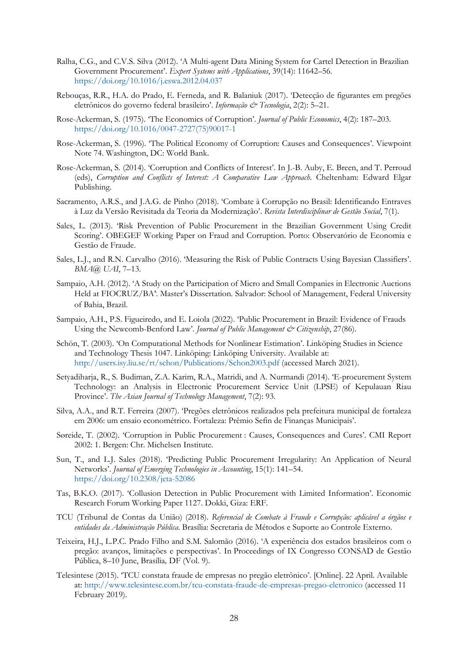- Ralha, C.G., and C.V.S. Silva (2012). 'A Multi-agent Data Mining System for Cartel Detection in Brazilian Government Procurement'. *Expert Systems with Applications*, 39(14): 11642–56. <https://doi.org/10.1016/j.eswa.2012.04.037>
- Rebouças, R.R., H.A. do Prado, E. Ferneda, and R. Balaniuk (2017). 'Detecção de figurantes em pregões eletrônicos do governo federal brasileiro'. *Informação & Tecnologia*, 2(2): 5–21.
- Rose-Ackerman, S. (1975). 'The Economics of Corruption'. *Journal of Public Economics*, 4(2): 187–203. [https://doi.org/10.1016/0047-2727\(75\)90017-1](https://doi.org/10.1016/0047-2727(75)90017-1)
- Rose-Ackerman, S. (1996). 'The Political Economy of Corruption: Causes and Consequences'. Viewpoint Note 74. Washington, DC: World Bank.
- Rose-Ackerman, S. (2014). 'Corruption and Conflicts of Interest'. In J.-B. Auby, E. Breen, and T. Perroud (eds), *Corruption and Conflicts of Interest: A Comparative Law Approach*. Cheltenham: Edward Elgar Publishing.
- Sacramento, A.R.S., and J.A.G. de Pinho (2018). 'Combate à Corrupção no Brasil: Identificando Entraves à Luz da Versão Revisitada da Teoria da Modernização'. *Revista Interdisciplinar de Gestão Social*, 7(1).
- Sales, L. (2013). 'Risk Prevention of Public Procurement in the Brazilian Government Using Credit Scoring'. OBEGEF Working Paper on Fraud and Corruption. Porto: Observatório de Economia e Gestão de Fraude.
- Sales, L.J., and R.N. Carvalho (2016). 'Measuring the Risk of Public Contracts Using Bayesian Classifiers'. *BMA@ UAI*, 7–13.
- Sampaio, A.H. (2012). 'A Study on the Participation of Micro and Small Companies in Electronic Auctions Held at FIOCRUZ/BA'. Master's Dissertation. Salvador: School of Management, Federal University of Bahia, Brazil.
- Sampaio, A.H., P.S. Figueiredo, and E. Loiola (2022). 'Public Procurement in Brazil: Evidence of Frauds Using the Newcomb-Benford Law'. *Journal of Public Management & Citizenship*, 27(86).
- Schön, T. (2003). 'On Computational Methods for Nonlinear Estimation'. Linköping Studies in Science and Technology Thesis 1047. Linköping: Linköping University. Available at: <http://users.isy.liu.se/rt/schon/Publications/Schon2003.pdf> (accessed March 2021).
- Setyadiharja, R., S. Budiman, Z.A. Karim, R.A., Matridi, and A. Nurmandi (2014). 'E-procurement System Technology: an Analysis in Electronic Procurement Service Unit (LPSE) of Kepulauan Riau Province'. *The Asian Journal of Technology Management*, 7(2): 93.
- Silva, A.A., and R.T. Ferreira (2007). 'Pregões eletrônicos realizados pela prefeitura municipal de fortaleza em 2006: um ensaio econométrico. Fortaleza: Prêmio Sefin de Finanças Municipais'.
- Søreide, T. (2002). 'Corruption in Public Procurement : Causes, Consequences and Cures'. CMI Report 2002: 1. Bergen: Chr. Michelsen Institute.
- Sun, T., and L.J. Sales (2018). 'Predicting Public Procurement Irregularity: An Application of Neural Networks'. *Journal of Emerging Technologies in Accounting*, 15(1): 141–54. <https://doi.org/10.2308/jeta-52086>
- Tas, B.K.O. (2017). 'Collusion Detection in Public Procurement with Limited Information'. Economic Research Forum Working Paper 1127. Dokki, Giza: ERF.
- TCU (Tribunal de Contas da União) (2018). *Referencial de Combate à Fraude e Corrupção: aplicável a órgãos e entidades da Administração Pública*. Brasília: Secretaria de Métodos e Suporte ao Controle Externo.
- Teixeira, H.J., L.P.C. Prado Filho and S.M. Salomão (2016). 'A experiência dos estados brasileiros com o pregão: avanços, limitações e perspectivas'. In Proceedings of IX Congresso CONSAD de Gestão Pública, 8–10 June, Brasília*,* DF (Vol. 9).
- Telesintese (2015). 'TCU constata fraude de empresas no pregão eletrônico'. [Online]. 22 April. Available at: <http://www.telesintese.com.br/tcu-constata-fraude-de-empresas-pregao-eletronico> (accessed 11 February 2019).